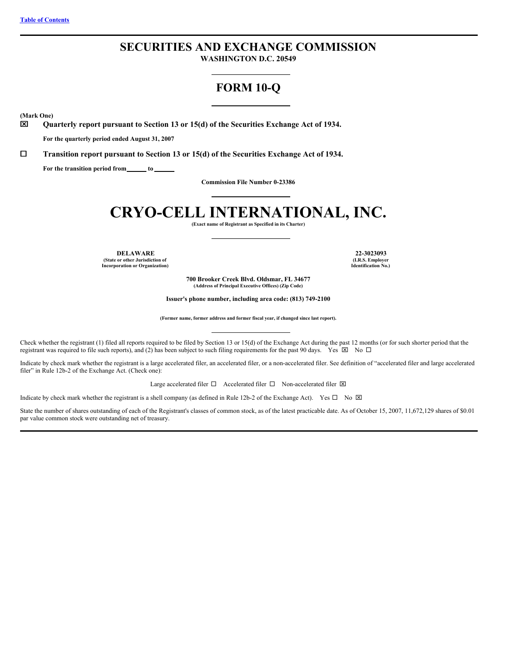# **SECURITIES AND EXCHANGE COMMISSION**

**WASHINGTON D.C. 20549**

# **FORM 10-Q**

**(Mark One)**

x **Quarterly report pursuant to Section 13 or 15(d) of the Securities Exchange Act of 1934.**

**For the quarterly period ended August 31, 2007**

¨ **Transition report pursuant to Section 13 or 15(d) of the Securities Exchange Act of 1934.**

**For the transition period from to**

**Commission File Number 0-23386**

# **CRYO-CELL INTERNATIONAL, INC.**

**(Exact name of Registrant as Specified in its Charter)**

**(State or other Jurisdiction of Incorporation or Organization)**

**DELAWARE 22-3023093 (I.R.S. Employer Identification No.)**

> **700 Brooker Creek Blvd. Oldsmar, FL 34677 (Address of Principal Executive Offices) (Zip Code)**

**Issuer's phone number, including area code: (813) 749-2100**

**(Former name, former address and former fiscal year, if changed since last report).**

Check whether the registrant (1) filed all reports required to be filed by Section 13 or 15(d) of the Exchange Act during the past 12 months (or for such shorter period that the registrant was required to file such reports), and (2) has been subject to such filing requirements for the past 90 days. Yes  $\boxtimes$  No  $\Box$ 

Indicate by check mark whether the registrant is a large accelerated filer, an accelerated filer, or a non-accelerated filer. See definition of "accelerated filer and large accelerated filer" in Rule 12b-2 of the Exchange Act. (Check one):

Large accelerated filer  $\square$  Accelerated filer  $\square$  Non-accelerated filer  $\square$ 

Indicate by check mark whether the registrant is a shell company (as defined in Rule 12b-2 of the Exchange Act). Yes  $\Box$  No  $\boxtimes$ 

State the number of shares outstanding of each of the Registrant's classes of common stock, as of the latest practicable date. As of October 15, 2007, 11,672,129 shares of \$0.01 par value common stock were outstanding net of treasury.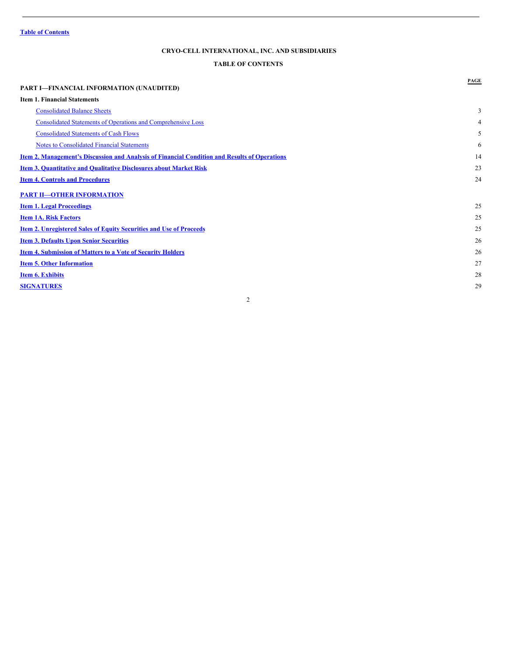# <span id="page-1-0"></span>**TABLE OF CONTENTS**

| <b>PART I-FINANCIAL INFORMATION (UNAUDITED)</b>                                                      | PAGE |
|------------------------------------------------------------------------------------------------------|------|
| <b>Item 1. Financial Statements</b>                                                                  |      |
| <b>Consolidated Balance Sheets</b>                                                                   | 3    |
| <b>Consolidated Statements of Operations and Comprehensive Loss</b>                                  | 4    |
| <b>Consolidated Statements of Cash Flows</b>                                                         | 5    |
| <b>Notes to Consolidated Financial Statements</b>                                                    | 6    |
| <u>Item 2. Management's Discussion and Analysis of Financial Condition and Results of Operations</u> | 14   |
| <b>Item 3. Quantitative and Qualitative Disclosures about Market Risk</b>                            | 23   |
| <b>Item 4. Controls and Procedures</b>                                                               | 24   |
| <b>PART II-OTHER INFORMATION</b>                                                                     |      |
| <b>Item 1. Legal Proceedings</b>                                                                     | 25   |
| <b>Item 1A. Risk Factors</b>                                                                         | 25   |
| <b>Item 2. Unregistered Sales of Equity Securities and Use of Proceeds</b>                           | 25   |
| <b>Item 3. Defaults Upon Senior Securities</b>                                                       | 26   |
| <b>Item 4. Submission of Matters to a Vote of Security Holders</b>                                   | 26   |
| <b>Item 5. Other Information</b>                                                                     | 27   |
| <b>Item 6. Exhibits</b>                                                                              | 28   |
| <b>SIGNATURES</b>                                                                                    | 29   |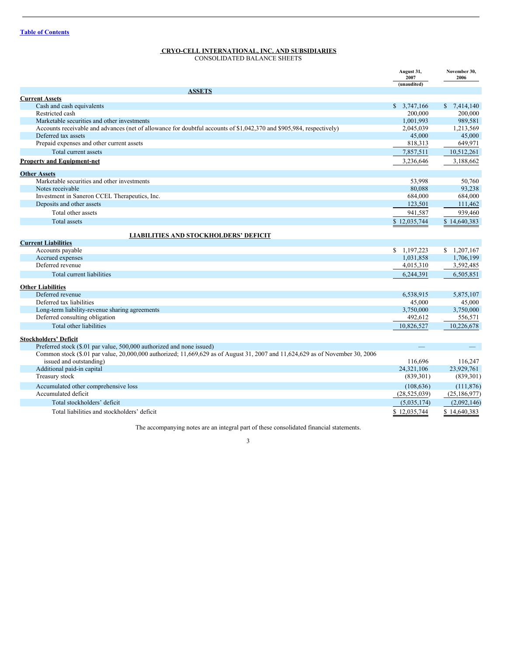<span id="page-2-0"></span>CONSOLIDATED BALANCE SHEETS

|                                                                                                                               | August 31,<br>2007 | November 30.<br>2006 |
|-------------------------------------------------------------------------------------------------------------------------------|--------------------|----------------------|
|                                                                                                                               | (unaudited)        |                      |
| <b>ASSETS</b><br><b>Current Assets</b>                                                                                        |                    |                      |
| Cash and cash equivalents                                                                                                     | \$3,747,166        | \$7,414,140          |
| Restricted cash                                                                                                               | 200,000            | 200,000              |
| Marketable securities and other investments                                                                                   | 1,001,993          | 989,581              |
| Accounts receivable and advances (net of allowance for doubtful accounts of \$1,042,370 and \$905,984, respectively)          | 2,045,039          | 1,213,569            |
| Deferred tax assets                                                                                                           | 45,000             | 45,000               |
| Prepaid expenses and other current assets                                                                                     | 818,313            | 649,971              |
| Total current assets                                                                                                          | 7,857,511          | 10,512,261           |
| <b>Property and Equipment-net</b>                                                                                             | 3,236,646          | 3,188,662            |
| <b>Other Assets</b>                                                                                                           |                    |                      |
| Marketable securities and other investments                                                                                   | 53,998             | 50.760               |
| Notes receivable                                                                                                              | 80.088             | 93,238               |
| Investment in Saneron CCEL Therapeutics, Inc.                                                                                 | 684,000            | 684,000              |
| Deposits and other assets                                                                                                     | 123,501            | 111,462              |
| Total other assets                                                                                                            | 941,587            | 939,460              |
| <b>Total assets</b>                                                                                                           | \$12,035,744       | \$14,640,383         |
| <b>LIABILITIES AND STOCKHOLDERS' DEFICIT</b>                                                                                  |                    |                      |
| <b>Current Liabilities</b>                                                                                                    |                    |                      |
| Accounts payable                                                                                                              | \$1,197,223        | \$1,207,167          |
| Accrued expenses                                                                                                              | 1,031,858          | 1,706,199            |
| Deferred revenue                                                                                                              | 4,015,310          | 3,592,485            |
| Total current liabilities                                                                                                     | 6,244,391          | 6,505,851            |
| <b>Other Liabilities</b>                                                                                                      |                    |                      |
| Deferred revenue                                                                                                              | 6,538,915          | 5,875,107            |
| Deferred tax liabilities                                                                                                      | 45,000             | 45,000               |
| Long-term liability-revenue sharing agreements                                                                                | 3,750,000          | 3,750,000            |
| Deferred consulting obligation                                                                                                | 492,612            | 556,571              |
| Total other liabilities                                                                                                       | 10,826,527         | 10,226,678           |
| <b>Stockholders' Deficit</b>                                                                                                  |                    |                      |
| Preferred stock (\$.01 par value, 500,000 authorized and none issued)                                                         |                    |                      |
| Common stock (\$.01 par value, 20,000,000 authorized; 11,669,629 as of August 31, 2007 and 11,624,629 as of November 30, 2006 |                    |                      |
| issued and outstanding)                                                                                                       | 116,696            | 116,247              |
| Additional paid-in capital                                                                                                    | 24,321,106         | 23,929,761           |
| Treasury stock                                                                                                                | (839, 301)         | (839, 301)           |
| Accumulated other comprehensive loss                                                                                          | (108, 636)         | (111, 876)           |
| Accumulated deficit                                                                                                           | (28, 525, 039)     | (25, 186, 977)       |
| Total stockholders' deficit                                                                                                   | (5,035,174)        | (2,092,146)          |
| Total liabilities and stockholders' deficit                                                                                   | \$12,035,744       | \$14,640,383         |

The accompanying notes are an integral part of these consolidated financial statements.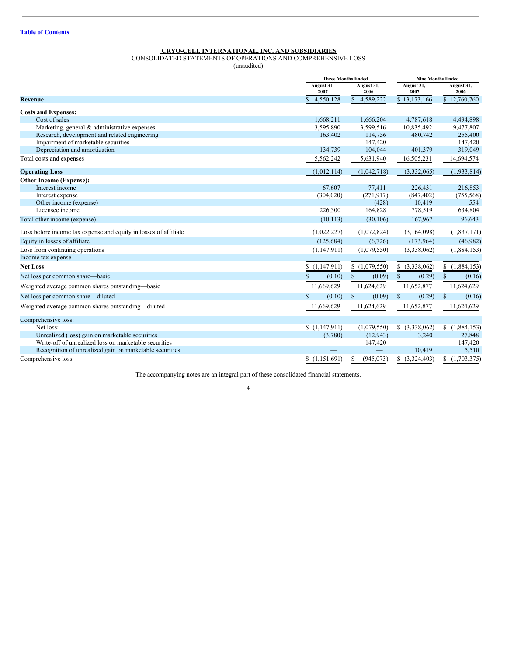# <span id="page-3-0"></span>CONSOLIDATED STATEMENTS OF OPERATIONS AND COMPREHENSIVE LOSS

(unaudited)

|                                                                  |                        | <b>Three Months Ended</b> |                        | <b>Nine Months Ended</b> |  |
|------------------------------------------------------------------|------------------------|---------------------------|------------------------|--------------------------|--|
|                                                                  | August 31.<br>2007     | August 31,<br>2006        | August 31,<br>2007     | August 31,<br>2006       |  |
| Revenue                                                          | \$<br>4,550,128        | $\mathbb{S}$<br>4,589,222 | \$13,173,166           | \$12,760,760             |  |
| <b>Costs and Expenses:</b>                                       |                        |                           |                        |                          |  |
| Cost of sales                                                    | 1,668,211              | 1,666,204                 | 4,787,618              | 4,494,898                |  |
| Marketing, general & administrative expenses                     | 3,595,890              | 3,599,516                 | 10,835,492             | 9,477,807                |  |
| Research, development and related engineering                    | 163,402                | 114,756                   | 480,742                | 255,400                  |  |
| Impairment of marketable securities                              |                        | 147,420                   |                        | 147,420                  |  |
| Depreciation and amortization                                    | 134,739                | 104,044                   | 401,379                | 319,049                  |  |
| Total costs and expenses                                         | 5,562,242              | 5,631,940                 | 16,505,231             | 14,694,574               |  |
| <b>Operating Loss</b>                                            | (1,012,114)            | (1,042,718)               | (3,332,065)            | (1, 933, 814)            |  |
| <b>Other Income (Expense):</b>                                   |                        |                           |                        |                          |  |
| Interest income                                                  | 67,607                 | 77,411                    | 226,431                | 216,853                  |  |
| Interest expense                                                 | (304, 020)             | (271, 917)                | (847, 402)             | (755, 568)               |  |
| Other income (expense)                                           |                        | (428)                     | 10,419                 | 554                      |  |
| Licensee income                                                  | 226,300                | 164,828                   | 778,519                | 634,804                  |  |
| Total other income (expense)                                     | (10, 113)              | (30, 106)                 | 167,967                | 96,643                   |  |
| Loss before income tax expense and equity in losses of affiliate | (1,022,227)            | (1,072,824)               | (3,164,098)            | (1, 837, 171)            |  |
| Equity in losses of affiliate                                    | (125, 684)             | (6,726)                   | (173,964)              | (46,982)                 |  |
| Loss from continuing operations                                  | (1, 147, 911)          | (1,079,550)               | (3,338,062)            | (1,884,153)              |  |
| Income tax expense                                               |                        |                           |                        |                          |  |
| <b>Net Loss</b>                                                  | \$(1,147,911)          | \$(1,079,550)             | (3,338,062)<br>S.      | (1,884,153)<br>\$        |  |
| Net loss per common share—basic                                  | \$<br>(0.10)           | $\mathbb{S}$<br>(0.09)    | $\mathbb{S}$<br>(0.29) | <sup>\$</sup><br>(0.16)  |  |
| Weighted average common shares outstanding—basic                 | 11,669,629             | 11,624,629                | 11,652,877             | 11,624,629               |  |
| Net loss per common share—diluted                                | $\mathbf{s}$<br>(0.10) | $\mathbf{s}$<br>(0.09)    | $\mathbf{s}$<br>(0.29) | (0.16)                   |  |
| Weighted average common shares outstanding—diluted               | 11,669,629             | 11,624,629                | 11,652,877             | 11,624,629               |  |
| Comprehensive loss:                                              |                        |                           |                        |                          |  |
| Net loss:                                                        | \$(1,147,911)          | (1,079,550)               | \$(3,338,062)          | \$(1,884,153)            |  |
| Unrealized (loss) gain on marketable securities                  | (3,780)                | (12, 943)                 | 3,240                  | 27,848                   |  |
| Write-off of unrealized loss on marketable securities            |                        | 147,420                   |                        | 147,420                  |  |
| Recognition of unrealized gain on marketable securities          |                        |                           | 10,419                 | 5,510                    |  |
| Comprehensive loss                                               | \$(1,151,691)          | S<br>(945,073)            | (3,324,403)<br>S.      | (1,703,375)<br>S.        |  |

The accompanying notes are an integral part of these consolidated financial statements.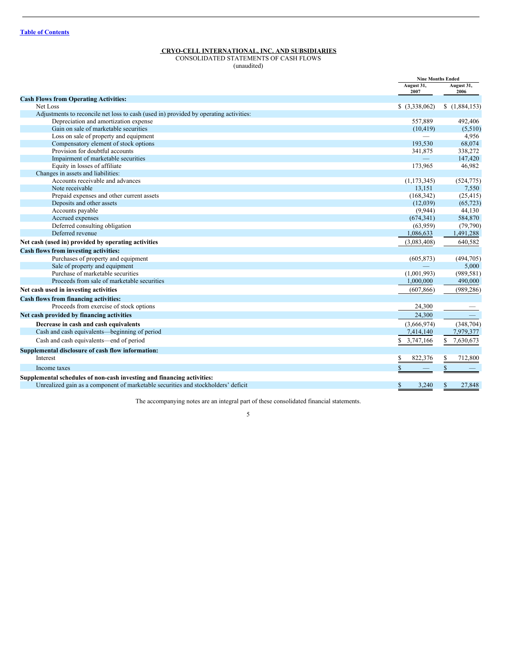<span id="page-4-0"></span>CONSOLIDATED STATEMENTS OF CASH FLOWS

| (unaudited)                                                                           |                          |                    |
|---------------------------------------------------------------------------------------|--------------------------|--------------------|
|                                                                                       | <b>Nine Months Ended</b> |                    |
|                                                                                       | August 31,<br>2007       | August 31,<br>2006 |
| <b>Cash Flows from Operating Activities:</b>                                          |                          |                    |
| Net Loss                                                                              | $$$ $(3,338,062)$        | \$(1,884,153)      |
| Adjustments to reconcile net loss to cash (used in) provided by operating activities: |                          |                    |
| Depreciation and amortization expense                                                 | 557,889                  | 492,406            |
| Gain on sale of marketable securities                                                 | (10, 419)                | (5,510)            |
| Loss on sale of property and equipment                                                |                          | 4,956              |
| Compensatory element of stock options                                                 | 193.530                  | 68,074             |
| Provision for doubtful accounts                                                       | 341,875                  | 338,272            |
| Impairment of marketable securities                                                   |                          | 147,420            |
| Equity in losses of affiliate                                                         | 173,965                  | 46,982             |
| Changes in assets and liabilities:                                                    |                          |                    |
| Accounts receivable and advances                                                      | (1, 173, 345)            | (524, 775)         |
| Note receivable                                                                       | 13,151                   | 7,550              |
| Prepaid expenses and other current assets                                             | (168, 342)               | (25, 415)          |
| Deposits and other assets                                                             | (12,039)                 | (65, 723)          |
| Accounts payable                                                                      | (9,944)                  | 44,130             |
| Accrued expenses                                                                      | (674, 341)               | 584,870            |
| Deferred consulting obligation                                                        | (63,959)                 | (79,790)           |
| Deferred revenue                                                                      | 1,086,633                | 1,491,288          |
| Net cash (used in) provided by operating activities                                   | (3,083,408)              | 640,582            |
| Cash flows from investing activities:                                                 |                          |                    |
| Purchases of property and equipment                                                   | (605, 873)               | (494,705)          |
| Sale of property and equipment                                                        |                          | 5,000              |
| Purchase of marketable securities                                                     | (1,001,993)              | (989, 581)         |
| Proceeds from sale of marketable securities                                           | 1,000,000                | 490,000            |
| Net cash used in investing activities                                                 | (607, 866)               | (989, 286)         |
| Cash flows from financing activities:                                                 |                          |                    |
| Proceeds from exercise of stock options                                               | 24,300                   |                    |
| Net cash provided by financing activities                                             | 24,300                   |                    |
| Decrease in cash and cash equivalents                                                 | (3,666,974)              | (348, 704)         |
| Cash and cash equivalents—beginning of period                                         | 7,414,140                | 7,979,377          |
| Cash and cash equivalents—end of period                                               | \$<br>3,747,166          | 7,630,673          |
| Supplemental disclosure of cash flow information:                                     |                          |                    |

**Supplemental schedules of non-cash investing and financing activities:** Unrealized gain as a component of marketable securities and stockholders' deficit  $\frac{\$}{\$}$  3,240 \$ 27,848

The accompanying notes are an integral part of these consolidated financial statements.

Interest \$ 822,376 \$ 712,800 Income taxes  $\sim$  5  $-\sim$  5  $-\sim$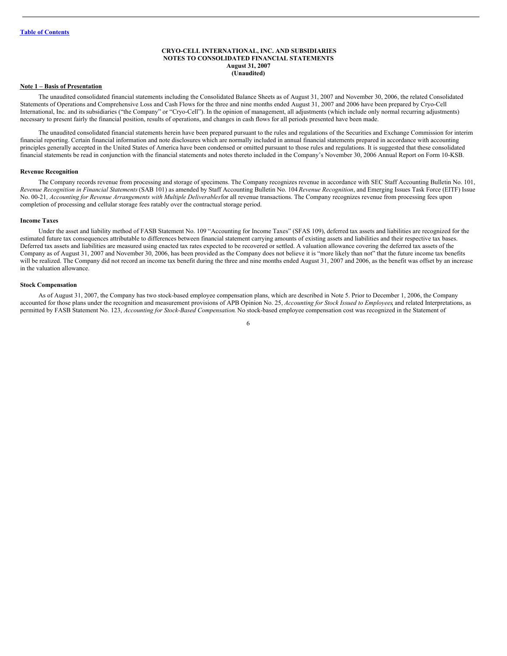# <span id="page-5-0"></span>**CRYO-CELL INTERNATIONAL, INC. AND SUBSIDIARIES NOTES TO CONSOLIDATED FINANCIAL STATEMENTS August 31, 2007 (Unaudited)**

### **Note 1 – Basis of Presentation**

The unaudited consolidated financial statements including the Consolidated Balance Sheets as of August 31, 2007 and November 30, 2006, the related Consolidated Statements of Operations and Comprehensive Loss and Cash Flows for the three and nine months ended August 31, 2007 and 2006 have been prepared by Cryo-Cell International, Inc. and its subsidiaries ("the Company" or "Cryo-Cell"). In the opinion of management, all adjustments (which include only normal recurring adjustments) necessary to present fairly the financial position, results of operations, and changes in cash flows for all periods presented have been made.

The unaudited consolidated financial statements herein have been prepared pursuant to the rules and regulations of the Securities and Exchange Commission for interim financial reporting. Certain financial information and note disclosures which are normally included in annual financial statements prepared in accordance with accounting principles generally accepted in the United States of America have been condensed or omitted pursuant to those rules and regulations. It is suggested that these consolidated financial statements be read in conjunction with the financial statements and notes thereto included in the Company's November 30, 2006 Annual Report on Form 10-KSB.

#### **Revenue Recognition**

The Company records revenue from processing and storage of specimens. The Company recognizes revenue in accordance with SEC Staff Accounting Bulletin No. 101, *Revenue Recognition in Financial Statements* (SAB 101) as amended by Staff Accounting Bulletin No. 104 *Revenue Recognition*, and Emerging Issues Task Force (EITF) Issue No. 00-21*, Accounting for Revenue Arrangements with Multiple Deliverables*for all revenue transactions. The Company recognizes revenue from processing fees upon completion of processing and cellular storage fees ratably over the contractual storage period.

#### **Income Taxes**

Under the asset and liability method of FASB Statement No. 109 "Accounting for Income Taxes" (SFAS 109), deferred tax assets and liabilities are recognized for the estimated future tax consequences attributable to differences between financial statement carrying amounts of existing assets and liabilities and their respective tax bases. Deferred tax assets and liabilities are measured using enacted tax rates expected to be recovered or settled. A valuation allowance covering the deferred tax assets of the Company as of August 31, 2007 and November 30, 2006, has been provided as the Company does not believe it is "more likely than not" that the future income tax benefits will be realized. The Company did not record an income tax benefit during the three and nine months ended August 31, 2007 and 2006, as the benefit was offset by an increase in the valuation allowance.

### **Stock Compensation**

As of August 31, 2007, the Company has two stock-based employee compensation plans, which are described in Note 5. Prior to December 1, 2006, the Company accounted for those plans under the recognition and measurement provisions of APB Opinion No. 25, *Accounting for Stock Issued to Employees*, and related Interpretations, as permitted by FASB Statement No. 123, *Accounting for Stock-Based Compensation*. No stock-based employee compensation cost was recognized in the Statement of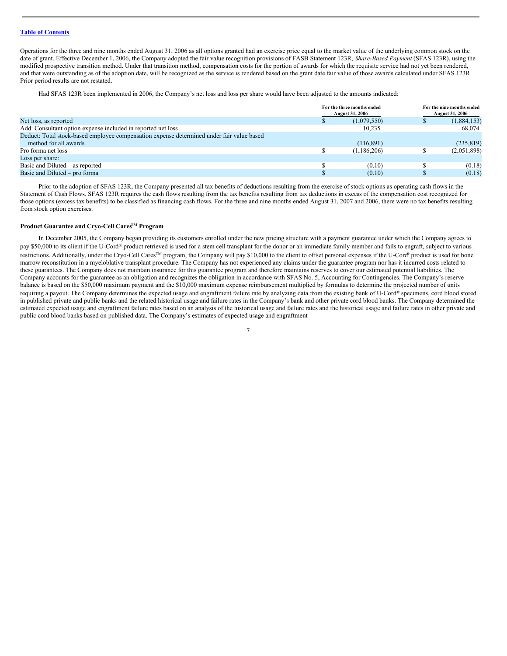Operations for the three and nine months ended August 31, 2006 as all options granted had an exercise price equal to the market value of the underlying common stock on the date of grant. Effective December 1, 2006, the Company adopted the fair value recognition provisions of FASB Statement 123R, *Share-Based Payment* (SFAS 123R), using the modified prospective transition method. Under that transition method, compensation costs for the portion of awards for which the requisite service had not yet been rendered, and that were outstanding as of the adoption date, will be recognized as the service is rendered based on the grant date fair value of those awards calculated under SFAS 123R. Prior period results are not restated.

Had SFAS 123R been implemented in 2006, the Company's net loss and loss per share would have been adjusted to the amounts indicated:

|                                                                                           | For the three months ended<br><b>August 31, 2006</b> | For the nine months ended<br><b>August 31, 2006</b> |
|-------------------------------------------------------------------------------------------|------------------------------------------------------|-----------------------------------------------------|
| Net loss, as reported                                                                     | (1,079,550)                                          | (1,884,153)                                         |
| Add: Consultant option expense included in reported net loss                              | 10.235                                               | 68,074                                              |
| Deduct: Total stock-based employee compensation expense determined under fair value based |                                                      |                                                     |
| method for all awards                                                                     | (116,891)                                            | (235, 819)                                          |
| Pro forma net loss                                                                        | (1,186,206)                                          | (2,051,898)                                         |
| Loss per share:                                                                           |                                                      |                                                     |
| Basic and Diluted – as reported                                                           | (0.10)                                               | (0.18)                                              |
| Basic and Diluted – pro forma                                                             | (0.10)                                               | (0.18)                                              |

Prior to the adoption of SFAS 123R, the Company presented all tax benefits of deductions resulting from the exercise of stock options as operating cash flows in the Statement of Cash Flows. SFAS 123R requires the cash flows resulting from the tax benefits resulting from tax deductions in excess of the compensation cost recognized for those options (excess tax benefits) to be classified as financing cash flows. For the three and nine months ended August 31, 2007 and 2006, there were no tax benefits resulting from stock option exercises.

# **Product Guarantee and Cryo-Cell CaresTM Program**

In December 2005, the Company began providing its customers enrolled under the new pricing structure with a payment guarantee under which the Company agrees to pay \$50,000 to its client if the U-Cord® product retrieved is used for a stem cell transplant for the donor or an immediate family member and fails to engraft, subject to various restrictions. Additionally, under the Cryo-Cell Cares<sup>™</sup> program, the Company will pay \$10,000 to the client to offset personal expenses if the U-Cord® product is used for bone marrow reconstitution in a myeloblative transplant procedure. The Company has not experienced any claims under the guarantee program nor has it incurred costs related to these guarantees. The Company does not maintain insurance for this guarantee program and therefore maintains reserves to cover our estimated potential liabilities. The Company accounts for the guarantee as an obligation and recognizes the obligation in accordance with SFAS No. 5, Accounting for Contingencies. The Company's reserve balance is based on the \$50,000 maximum payment and the \$10,000 maximum expense reimbursement multiplied by formulas to determine the projected number of units requiring a payout. The Company determines the expected usage and engraftment failure rate by analyzing data from the existing bank of U-Cord® specimens, cord blood stored in published private and public banks and the related historical usage and failure rates in the Company's bank and other private cord blood banks. The Company determined the estimated expected usage and engraftment failure rates based on an analysis of the historical usage and failure rates and the historical usage and failure rates in other private and public cord blood banks based on published data. The Company's estimates of expected usage and engraftment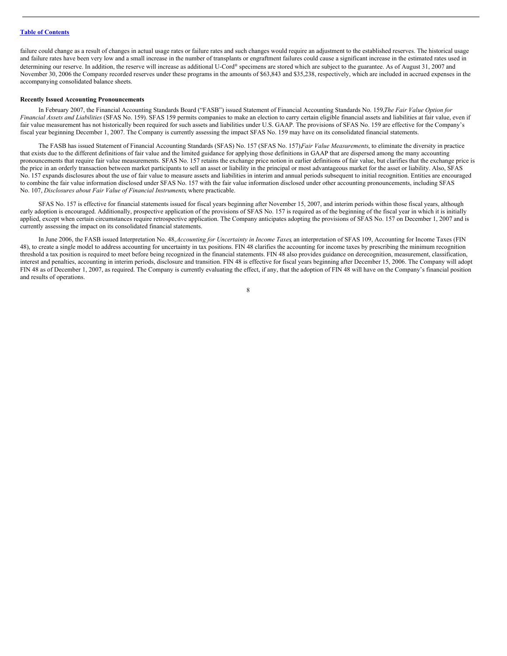failure could change as a result of changes in actual usage rates or failure rates and such changes would require an adjustment to the established reserves. The historical usage and failure rates have been very low and a small increase in the number of transplants or engraftment failures could cause a significant increase in the estimated rates used in determining our reserve. In addition, the reserve will increase as additional U-Cord® specimens are stored which are subject to the guarantee. As of August 31, 2007 and November 30, 2006 the Company recorded reserves under these programs in the amounts of \$63,843 and \$35,238, respectively, which are included in accrued expenses in the accompanying consolidated balance sheets.

#### **Recently Issued Accounting Pronouncements**

In February 2007, the Financial Accounting Standards Board ("FASB") issued Statement of Financial Accounting Standards No. 159,*The Fair Value Option for Financial Assets and Liabilities* (SFAS No. 159). SFAS 159 permits companies to make an election to carry certain eligible financial assets and liabilities at fair value, even if fair value measurement has not historically been required for such assets and liabilities under U.S. GAAP. The provisions of SFAS No. 159 are effective for the Company's fiscal year beginning December 1, 2007. The Company is currently assessing the impact SFAS No. 159 may have on its consolidated financial statements.

The FASB has issued Statement of Financial Accounting Standards (SFAS) No. 157 (SFAS No. 157),*Fair Value Measurements*, to eliminate the diversity in practice that exists due to the different definitions of fair value and the limited guidance for applying those definitions in GAAP that are dispersed among the many accounting pronouncements that require fair value measurements. SFAS No. 157 retains the exchange price notion in earlier definitions of fair value, but clarifies that the exchange price is the price in an orderly transaction between market participants to sell an asset or liability in the principal or most advantageous market for the asset or liability. Also, SFAS No. 157 expands disclosures about the use of fair value to measure assets and liabilities in interim and annual periods subsequent to initial recognition. Entities are encouraged to combine the fair value information disclosed under SFAS No. 157 with the fair value information disclosed under other accounting pronouncements, including SFAS No. 107, *Disclosures about Fair Value of Financial Instruments*, where practicable.

SFAS No. 157 is effective for financial statements issued for fiscal years beginning after November 15, 2007, and interim periods within those fiscal years, although early adoption is encouraged. Additionally, prospective application of the provisions of SFAS No. 157 is required as of the beginning of the fiscal year in which it is initially applied, except when certain circumstances require retrospective application. The Company anticipates adopting the provisions of SFAS No. 157 on December 1, 2007 and is currently assessing the impact on its consolidated financial statements.

In June 2006, the FASB issued Interpretation No. 48,*Accounting for Uncertainty in Income Taxes*, an interpretation of SFAS 109, Accounting for Income Taxes (FIN 48), to create a single model to address accounting for uncertainty in tax positions. FIN 48 clarifies the accounting for income taxes by prescribing the minimum recognition threshold a tax position is required to meet before being recognized in the financial statements. FIN 48 also provides guidance on derecognition, measurement, classification, interest and penalties, accounting in interim periods, disclosure and transition. FIN 48 is effective for fiscal years beginning after December 15, 2006. The Company will adopt FIN 48 as of December 1, 2007, as required. The Company is currently evaluating the effect, if any, that the adoption of FIN 48 will have on the Company's financial position and results of operations.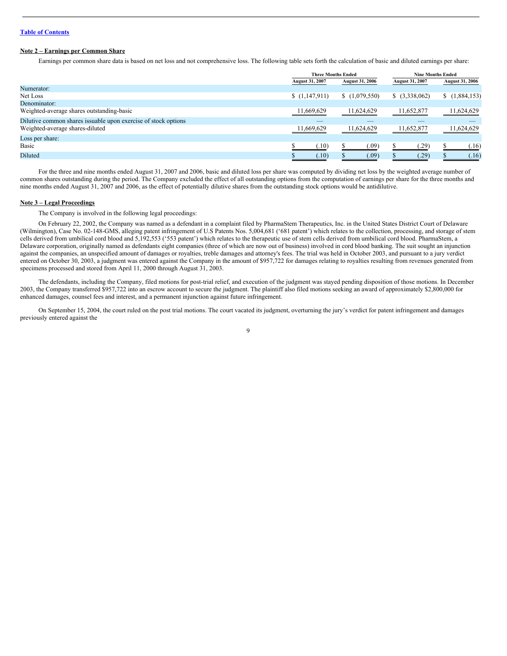# **Note 2 – Earnings per Common Share**

Earnings per common share data is based on net loss and not comprehensive loss. The following table sets forth the calculation of basic and diluted earnings per share:

|                                                                | <b>Three Months Ended</b> |                        | <b>Nine Months Ended</b> |                        |
|----------------------------------------------------------------|---------------------------|------------------------|--------------------------|------------------------|
|                                                                | <b>August 31, 2007</b>    | <b>August 31, 2006</b> | <b>August 31, 2007</b>   | <b>August 31, 2006</b> |
| Numerator:                                                     |                           |                        |                          |                        |
| Net Loss                                                       | (1,147,911)               | (1,079,550)            | $$$ $(3,338,062)$        | (1,884,153)            |
| Denominator:                                                   |                           |                        |                          |                        |
| Weighted-average shares outstanding-basic                      | 11,669,629                | 11,624,629             | 11,652,877               | 11,624,629             |
| Dilutive common shares issuable upon exercise of stock options |                           |                        |                          |                        |
| Weighted-average shares-diluted                                | 11,669,629                | 11,624,629             | 11,652,877               | 11,624,629             |
| Loss per share:                                                |                           |                        |                          |                        |
| Basic                                                          | .10 <sup>5</sup>          | (0.09)                 | $.29^{\circ}$            | (.16)                  |
| Diluted                                                        | (.10)                     | (.09)                  | .29)                     | (.16)                  |

For the three and nine months ended August 31, 2007 and 2006, basic and diluted loss per share was computed by dividing net loss by the weighted average number of common shares outstanding during the period. The Company excluded the effect of all outstanding options from the computation of earnings per share for the three months and nine months ended August 31, 2007 and 2006, as the effect of potentially dilutive shares from the outstanding stock options would be antidilutive.

#### **Note 3 – Legal Proceedings**

The Company is involved in the following legal proceedings:

On February 22, 2002, the Company was named as a defendant in a complaint filed by PharmaStem Therapeutics, Inc. in the United States District Court of Delaware (Wilmington), Case No. 02-148-GMS, alleging patent infringement of U.S Patents Nos. 5,004,681 ('681 patent') which relates to the collection, processing, and storage of stem cells derived from umbilical cord blood and 5,192,553 ('553 patent') which relates to the therapeutic use of stem cells derived from umbilical cord blood. PharmaStem, a Delaware corporation, originally named as defendants eight companies (three of which are now out of business) involved in cord blood banking. The suit sought an injunction against the companies, an unspecified amount of damages or royalties, treble damages and attorney's fees. The trial was held in October 2003, and pursuant to a jury verdict entered on October 30, 2003, a judgment was entered against the Company in the amount of \$957,722 for damages relating to royalties resulting from revenues generated from specimens processed and stored from April 11, 2000 through August 31, 2003.

The defendants, including the Company, filed motions for post-trial relief, and execution of the judgment was stayed pending disposition of those motions. In December 2003, the Company transferred \$957,722 into an escrow account to secure the judgment. The plaintiff also filed motions seeking an award of approximately \$2,800,000 for enhanced damages, counsel fees and interest, and a permanent injunction against future infringement.

On September 15, 2004, the court ruled on the post trial motions. The court vacated its judgment, overturning the jury's verdict for patent infringement and damages previously entered against the

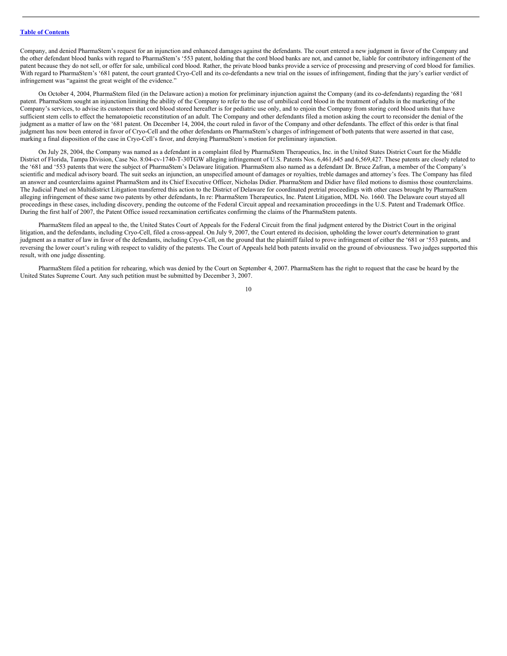Company, and denied PharmaStem's request for an injunction and enhanced damages against the defendants. The court entered a new judgment in favor of the Company and the other defendant blood banks with regard to PharmaStem's '553 patent, holding that the cord blood banks are not, and cannot be, liable for contributory infringement of the patent because they do not sell, or offer for sale, umbilical cord blood. Rather, the private blood banks provide a service of processing and preserving of cord blood for families. With regard to PharmaStem's '681 patent, the court granted Cryo-Cell and its co-defendants a new trial on the issues of infringement, finding that the jury's earlier verdict of infringement was "against the great weight of the evidence."

On October 4, 2004, PharmaStem filed (in the Delaware action) a motion for preliminary injunction against the Company (and its co-defendants) regarding the '681 patent. PharmaStem sought an injunction limiting the ability of the Company to refer to the use of umbilical cord blood in the treatment of adults in the marketing of the Company's services, to advise its customers that cord blood stored hereafter is for pediatric use only, and to enjoin the Company from storing cord blood units that have sufficient stem cells to effect the hematopoietic reconstitution of an adult. The Company and other defendants filed a motion asking the court to reconsider the denial of the judgment as a matter of law on the '681 patent. On December 14, 2004, the court ruled in favor of the Company and other defendants. The effect of this order is that final judgment has now been entered in favor of Cryo-Cell and the other defendants on PharmaStem's charges of infringement of both patents that were asserted in that case, marking a final disposition of the case in Cryo-Cell's favor, and denying PharmaStem's motion for preliminary injunction.

On July 28, 2004, the Company was named as a defendant in a complaint filed by PharmaStem Therapeutics, Inc. in the United States District Court for the Middle District of Florida, Tampa Division, Case No. 8:04-cv-1740-T-30TGW alleging infringement of U.S. Patents Nos. 6,461,645 and 6,569,427. These patents are closely related to the '681 and '553 patents that were the subject of PharmaStem's Delaware litigation. PharmaStem also named as a defendant Dr. Bruce Zafran, a member of the Company's scientific and medical advisory board. The suit seeks an injunction, an unspecified amount of damages or royalties, treble damages and attorney's fees. The Company has filed an answer and counterclaims against PharmaStem and its Chief Executive Officer, Nicholas Didier. PharmaStem and Didier have filed motions to dismiss those counterclaims. The Judicial Panel on Multidistrict Litigation transferred this action to the District of Delaware for coordinated pretrial proceedings with other cases brought by PharmaStem alleging infringement of these same two patents by other defendants, In re: PharmaStem Therapeutics, Inc. Patent Litigation, MDL No. 1660. The Delaware court stayed all proceedings in these cases, including discovery, pending the outcome of the Federal Circuit appeal and reexamination proceedings in the U.S. Patent and Trademark Office. During the first half of 2007, the Patent Office issued reexamination certificates confirming the claims of the PharmaStem patents.

PharmaStem filed an appeal to the, the United States Court of Appeals for the Federal Circuit from the final judgment entered by the District Court in the original litigation, and the defendants, including Cryo-Cell, filed a cross-appeal. On July 9, 2007, the Court entered its decision, upholding the lower court's determination to grant judgment as a matter of law in favor of the defendants, including Cryo-Cell, on the ground that the plaintiff failed to prove infringement of either the '681 or '553 patents, and reversing the lower court's ruling with respect to validity of the patents. The Court of Appeals held both patents invalid on the ground of obviousness. Two judges supported this result, with one judge dissenting.

PharmaStem filed a petition for rehearing, which was denied by the Court on September 4, 2007. PharmaStem has the right to request that the case be heard by the United States Supreme Court. Any such petition must be submitted by December 3, 2007.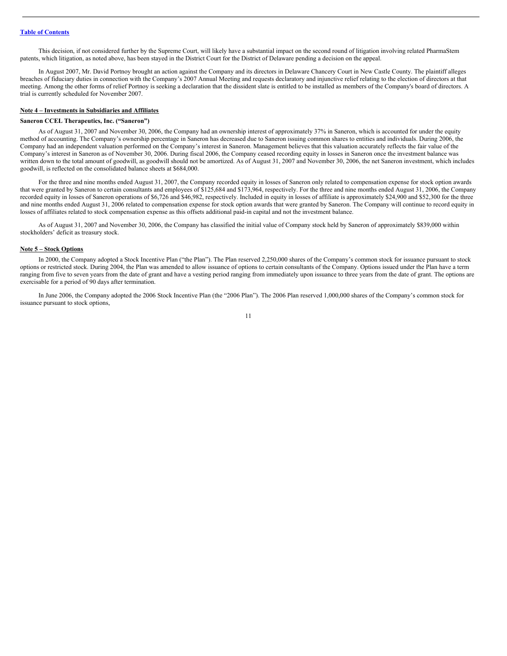This decision, if not considered further by the Supreme Court, will likely have a substantial impact on the second round of litigation involving related PharmaStem patents, which litigation, as noted above, has been stayed in the District Court for the District of Delaware pending a decision on the appeal.

In August 2007, Mr. David Portnoy brought an action against the Company and its directors in Delaware Chancery Court in New Castle County. The plaintiff alleges breaches of fiduciary duties in connection with the Company's 2007 Annual Meeting and requests declaratory and injunctive relief relating to the election of directors at that meeting. Among the other forms of relief Portnoy is seeking a declaration that the dissident slate is entitled to be installed as members of the Company's board of directors. A trial is currently scheduled for November 2007.

# **Note 4 – Investments in Subsidiaries and Affiliates**

# **Saneron CCEL Therapeutics, Inc. ("Saneron")**

As of August 31, 2007 and November 30, 2006, the Company had an ownership interest of approximately 37% in Saneron, which is accounted for under the equity method of accounting. The Company's ownership percentage in Saneron has decreased due to Saneron issuing common shares to entities and individuals. During 2006, the Company had an independent valuation performed on the Company's interest in Saneron. Management believes that this valuation accurately reflects the fair value of the Company's interest in Saneron as of November 30, 2006. During fiscal 2006, the Company ceased recording equity in losses in Saneron once the investment balance was written down to the total amount of goodwill, as goodwill should not be amortized. As of August 31, 2007 and November 30, 2006, the net Saneron investment, which includes goodwill, is reflected on the consolidated balance sheets at \$684,000.

For the three and nine months ended August 31, 2007, the Company recorded equity in losses of Saneron only related to compensation expense for stock option awards that were granted by Saneron to certain consultants and employees of \$125,684 and \$173,964, respectively. For the three and nine months ended August 31, 2006, the Company recorded equity in losses of Saneron operations of \$6,726 and \$46,982, respectively. Included in equity in losses of affiliate is approximately \$24,900 and \$52,300 for the three and nine months ended August 31, 2006 related to compensation expense for stock option awards that were granted by Saneron. The Company will continue to record equity in losses of affiliates related to stock compensation expense as this offsets additional paid-in capital and not the investment balance.

As of August 31, 2007 and November 30, 2006, the Company has classified the initial value of Company stock held by Saneron of approximately \$839,000 within stockholders' deficit as treasury stock.

# **Note 5 – Stock Options**

In 2000, the Company adopted a Stock Incentive Plan ("the Plan"). The Plan reserved 2,250,000 shares of the Company's common stock for issuance pursuant to stock options or restricted stock. During 2004, the Plan was amended to allow issuance of options to certain consultants of the Company. Options issued under the Plan have a term ranging from five to seven years from the date of grant and have a vesting period ranging from immediately upon issuance to three years from the date of grant. The options are exercisable for a period of 90 days after termination.

In June 2006, the Company adopted the 2006 Stock Incentive Plan (the "2006 Plan"). The 2006 Plan reserved 1,000,000 shares of the Company's common stock for issuance pursuant to stock options,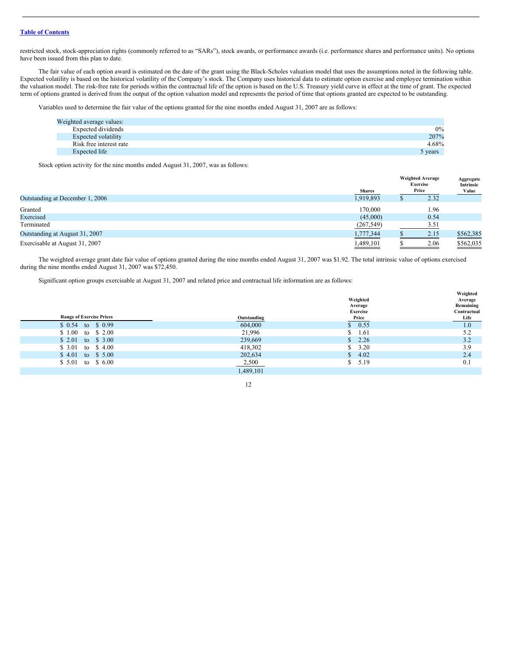restricted stock, stock-appreciation rights (commonly referred to as "SARs"), stock awards, or performance awards (i.e. performance shares and performance units). No options have been issued from this plan to date.

The fair value of each option award is estimated on the date of the grant using the Black-Scholes valuation model that uses the assumptions noted in the following table. Expected volatility is based on the historical volatility of the Company's stock. The Company uses historical data to estimate option exercise and employee termination within the valuation model. The risk-free rate for periods within the contractual life of the option is based on the U.S. Treasury yield curve in effect at the time of grant. The expected term of options granted is derived from the output of the option valuation model and represents the period of time that options granted are expected to be outstanding.

Variables used to determine the fair value of the options granted for the nine months ended August 31, 2007 are as follows:

| Weighted average values: |         |
|--------------------------|---------|
| Expected dividends       | $0\%$   |
| Expected volatility      | 207%    |
| Risk free interest rate  | 4.68%   |
| Expected life            | 5 years |

Stock option activity for the nine months ended August 31, 2007, was as follows:

|            | <b>Weighted Average</b><br><b>Exercise</b> |      | Aggregate<br>Intrinsic<br>Value |  |
|------------|--------------------------------------------|------|---------------------------------|--|
| 1,919,893  |                                            | 2.32 |                                 |  |
| 170,000    |                                            | 1.96 |                                 |  |
| (45,000)   |                                            | 0.54 |                                 |  |
| (267, 549) |                                            | 3.51 |                                 |  |
|            |                                            | 2.15 | \$562,385                       |  |
| 1,489,101  |                                            | 2.06 | \$562,035                       |  |
|            | <b>Shares</b><br>1,777,344                 |      | Price                           |  |

The weighted average grant date fair value of options granted during the nine months ended August 31, 2007 was \$1.92. The total intrinsic value of options exercised during the nine months ended August 31, 2007 was \$72,450.

Significant option groups exercisable at August 31, 2007 and related price and contractual life information are as follows:

| <b>Range of Exercise Prices</b> | Outstanding | Weighted<br>Average<br>Exercise<br>Price | Weighted<br>Average<br>Remaining<br>Contractual<br>Life |
|---------------------------------|-------------|------------------------------------------|---------------------------------------------------------|
|                                 |             |                                          | 1.0                                                     |
| \$ 0.54 to \$ 0.99              | 604,000     | \$ 0.55                                  |                                                         |
| \$1.00 to \$2.00                | 21,996      | S.<br>1.61                               | 5.2                                                     |
| \$ 2.01 to \$ 3.00              | 239,669     | 2.26<br>\$                               | 3.2                                                     |
| \$ 3.01 to \$ 4.00              | 418,302     | 3.20<br>\$.                              | 3.9                                                     |
| $$4.01$ to $$5.00$              | 202,634     | 4.02<br><sup>\$</sup>                    | 2.4                                                     |
| \$5.01 to \$6.00                | 2,500       | 5.19<br>\$                               | 0.1                                                     |
|                                 | 1,489,101   |                                          |                                                         |

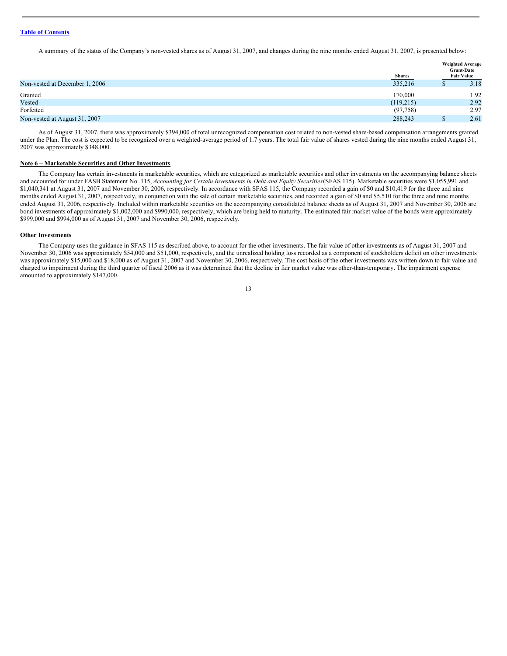A summary of the status of the Company's non-vested shares as of August 31, 2007, and changes during the nine months ended August 31, 2007, is presented below:

|           |               | <b>Weighted Average</b><br><b>Grant-Date</b><br><b>Fair Value</b> |
|-----------|---------------|-------------------------------------------------------------------|
| 335,216   |               | 3.18                                                              |
| 170,000   |               | 1.92                                                              |
| (119,215) |               | 2.92                                                              |
| (97, 758) |               | 2.97                                                              |
| 288,243   |               | 2.61                                                              |
|           | <b>Shares</b> |                                                                   |

As of August 31, 2007, there was approximately \$394,000 of total unrecognized compensation cost related to non-vested share-based compensation arrangements granted under the Plan. The cost is expected to be recognized over a weighted-average period of 1.7 years. The total fair value of shares vested during the nine months ended August 31, 2007 was approximately \$348,000.

# **Note 6 – Marketable Securities and Other Investments**

The Company has certain investments in marketable securities, which are categorized as marketable securities and other investments on the accompanying balance sheets and accounted for under FASB Statement No. 115, Accounting for Certain Investments in Debt and Equity Securities (SFAS 115). Marketable securities were \$1,055,991 and \$1,040,341 at August 31, 2007 and November 30, 2006, respectively. In accordance with SFAS 115, the Company recorded a gain of \$0 and \$10,419 for the three and nine months ended August 31, 2007, respectively, in conjunction with the sale of certain marketable securities, and recorded a gain of \$0 and \$5,510 for the three and nine months ended August 31, 2006, respectively. Included within marketable securities on the accompanying consolidated balance sheets as of August 31, 2007 and November 30, 2006 are bond investments of approximately \$1,002,000 and \$990,000, respectively, which are being held to maturity. The estimated fair market value of the bonds were approximately \$999,000 and \$994,000 as of August 31, 2007 and November 30, 2006, respectively.

#### **Other Investments**

The Company uses the guidance in SFAS 115 as described above, to account for the other investments. The fair value of other investments as of August 31, 2007 and November 30, 2006 was approximately \$54,000 and \$51,000, respectively, and the unrealized holding loss recorded as a component of stockholders deficit on other investments was approximately \$15,000 and \$18,000 as of August 31, 2007 and November 30, 2006, respectively. The cost basis of the other investments was written down to fair value and charged to impairment during the third quarter of fiscal 2006 as it was determined that the decline in fair market value was other-than-temporary. The impairment expense amounted to approximately \$147,000.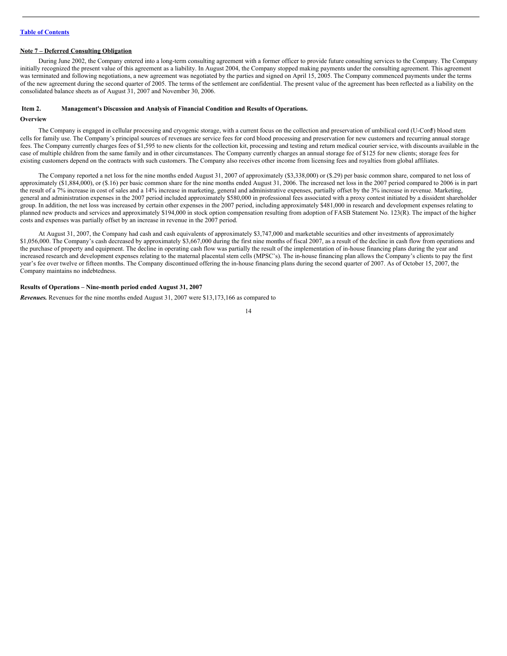# **Note 7 – Deferred Consulting Obligation**

During June 2002, the Company entered into a long-term consulting agreement with a former officer to provide future consulting services to the Company. The Company initially recognized the present value of this agreement as a liability. In August 2004, the Company stopped making payments under the consulting agreement. This agreement was terminated and following negotiations, a new agreement was negotiated by the parties and signed on April 15, 2005. The Company commenced payments under the terms of the new agreement during the second quarter of 2005. The terms of the settlement are confidential. The present value of the agreement has been reflected as a liability on the consolidated balance sheets as of August 31, 2007 and November 30, 2006.

### <span id="page-13-0"></span>**Item 2. Management's Discussion and Analysis of Financial Condition and Results of Operations.**

# **Overview**

The Company is engaged in cellular processing and cryogenic storage, with a current focus on the collection and preservation of umbilical cord (U-Cord ®) blood stem cells for family use. The Company's principal sources of revenues are service fees for cord blood processing and preservation for new customers and recurring annual storage fees. The Company currently charges fees of \$1,595 to new clients for the collection kit, processing and testing and return medical courier service, with discounts available in the case of multiple children from the same family and in other circumstances. The Company currently charges an annual storage fee of \$125 for new clients; storage fees for existing customers depend on the contracts with such customers. The Company also receives other income from licensing fees and royalties from global affiliates.

The Company reported a net loss for the nine months ended August 31, 2007 of approximately (\$3,338,000) or (\$.29) per basic common share, compared to net loss of approximately (\$1,884,000), or (\$.16) per basic common share for the nine months ended August 31, 2006. The increased net loss in the 2007 period compared to 2006 is in part the result of a 7% increase in cost of sales and a 14% increase in marketing, general and administrative expenses, partially offset by the 3% increase in revenue. Marketing, general and administration expenses in the 2007 period included approximately \$580,000 in professional fees associated with a proxy contest initiated by a dissident shareholder group. In addition, the net loss was increased by certain other expenses in the 2007 period, including approximately \$481,000 in research and development expenses relating to planned new products and services and approximately \$194,000 in stock option compensation resulting from adoption of FASB Statement No. 123(R). The impact of the higher costs and expenses was partially offset by an increase in revenue in the 2007 period.

At August 31, 2007, the Company had cash and cash equivalents of approximately \$3,747,000 and marketable securities and other investments of approximately \$1,056,000. The Company's cash decreased by approximately \$3,667,000 during the first nine months of fiscal 2007, as a result of the decline in cash flow from operations and the purchase of property and equipment. The decline in operating cash flow was partially the result of the implementation of in-house financing plans during the year and increased research and development expenses relating to the maternal placental stem cells (MPSC's). The in-house financing plan allows the Company's clients to pay the first year's fee over twelve or fifteen months. The Company discontinued offering the in-house financing plans during the second quarter of 2007. As of October 15, 2007, the Company maintains no indebtedness.

# **Results of Operations – Nine-month period ended August 31, 2007**

*Revenues.* Revenues for the nine months ended August 31, 2007 were \$13,173,166 as compared to

<sup>14</sup>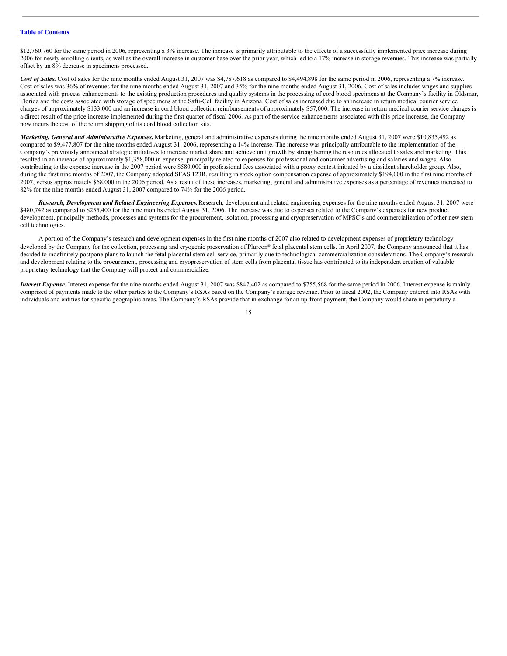\$12,760,760 for the same period in 2006, representing a 3% increase. The increase is primarily attributable to the effects of a successfully implemented price increase during 2006 for newly enrolling clients, as well as the overall increase in customer base over the prior year, which led to a 17% increase in storage revenues. This increase was partially offset by an 8% decrease in specimens processed.

*Cost of Sales.* Cost of sales for the nine months ended August 31, 2007 was \$4,787,618 as compared to \$4,494,898 for the same period in 2006, representing a 7% increase. Cost of sales was 36% of revenues for the nine months ended August 31, 2007 and 35% for the nine months ended August 31, 2006. Cost of sales includes wages and supplies associated with process enhancements to the existing production procedures and quality systems in the processing of cord blood specimens at the Company's facility in Oldsmar, Florida and the costs associated with storage of specimens at the Safti-Cell facility in Arizona. Cost of sales increased due to an increase in return medical courier service charges of approximately \$133,000 and an increase in cord blood collection reimbursements of approximately \$57,000. The increase in return medical courier service charges is a direct result of the price increase implemented during the first quarter of fiscal 2006. As part of the service enhancements associated with this price increase, the Company now incurs the cost of the return shipping of its cord blood collection kits.

*Marketing, General and Administrative Expenses.* Marketing, general and administrative expenses during the nine months ended August 31, 2007 were \$10,835,492 as compared to \$9,477,807 for the nine months ended August 31, 2006, representing a 14% increase. The increase was principally attributable to the implementation of the Company's previously announced strategic initiatives to increase market share and achieve unit growth by strengthening the resources allocated to sales and marketing. This resulted in an increase of approximately \$1,358,000 in expense, principally related to expenses for professional and consumer advertising and salaries and wages. Also contributing to the expense increase in the 2007 period were \$580,000 in professional fees associated with a proxy contest initiated by a dissident shareholder group. Also, during the first nine months of 2007, the Company adopted SFAS 123R, resulting in stock option compensation expense of approximately \$194,000 in the first nine months of 2007, versus approximately \$68,000 in the 2006 period. As a result of these increases, marketing, general and administrative expenses as a percentage of revenues increased to 82% for the nine months ended August 31, 2007 compared to 74% for the 2006 period.

*Research, Development and Related Engineering Expenses.*Research, development and related engineering expenses for the nine months ended August 31, 2007 were \$480,742 as compared to \$255,400 for the nine months ended August 31, 2006. The increase was due to expenses related to the Company's expenses for new product development, principally methods, processes and systems for the procurement, isolation, processing and cryopreservation of MPSC's and commercialization of other new stem cell technologies.

A portion of the Company's research and development expenses in the first nine months of 2007 also related to development expenses of proprietary technology developed by the Company for the collection, processing and cryogenic preservation of Plureon® fetal placental stem cells. In April 2007, the Company announced that it has decided to indefinitely postpone plans to launch the fetal placental stem cell service, primarily due to technological commercialization considerations. The Company's research and development relating to the procurement, processing and cryopreservation of stem cells from placental tissue has contributed to its independent creation of valuable proprietary technology that the Company will protect and commercialize.

*Interest Expense.* Interest expense for the nine months ended August 31, 2007 was \$847,402 as compared to \$755,568 for the same period in 2006. Interest expense is mainly comprised of payments made to the other parties to the Company's RSAs based on the Company's storage revenue. Prior to fiscal 2002, the Company entered into RSAs with individuals and entities for specific geographic areas. The Company's RSAs provide that in exchange for an up-front payment, the Company would share in perpetuity a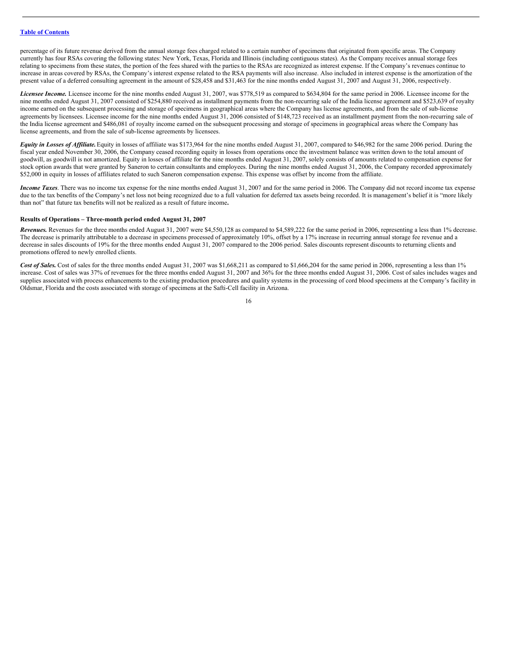percentage of its future revenue derived from the annual storage fees charged related to a certain number of specimens that originated from specific areas. The Company currently has four RSAs covering the following states: New York, Texas, Florida and Illinois (including contiguous states). As the Company receives annual storage fees relating to specimens from these states, the portion of the fees shared with the parties to the RSAs are recognized as interest expense. If the Company's revenues continue to increase in areas covered by RSAs, the Company's interest expense related to the RSA payments will also increase. Also included in interest expense is the amortization of the present value of a deferred consulting agreement in the amount of \$28,458 and \$31,463 for the nine months ended August 31, 2007 and August 31, 2006, respectively.

*Licensee Income.* Licensee income for the nine months ended August 31, 2007, was \$778,519 as compared to \$634,804 for the same period in 2006. Licensee income for the nine months ended August 31, 2007 consisted of \$254,880 received as installment payments from the non-recurring sale of the India license agreement and \$523,639 of royalty income earned on the subsequent processing and storage of specimens in geographical areas where the Company has license agreements, and from the sale of sub-license agreements by licensees. Licensee income for the nine months ended August 31, 2006 consisted of \$148,723 received as an installment payment from the non-recurring sale of the India license agreement and \$486,081 of royalty income earned on the subsequent processing and storage of specimens in geographical areas where the Company has license agreements, and from the sale of sub-license agreements by licensees.

*Equity in Losses of Af iliate.*Equity in losses of affiliate was \$173,964 for the nine months ended August 31, 2007, compared to \$46,982 for the same 2006 period. During the fiscal year ended November 30, 2006, the Company ceased recording equity in losses from operations once the investment balance was written down to the total amount of goodwill, as goodwill is not amortized. Equity in losses of affiliate for the nine months ended August 31, 2007, solely consists of amounts related to compensation expense for stock option awards that were granted by Saneron to certain consultants and employees. During the nine months ended August 31, 2006, the Company recorded approximately \$52,000 in equity in losses of affiliates related to such Saneron compensation expense. This expense was offset by income from the affiliate.

*Income Taxes*. There was no income tax expense for the nine months ended August 31, 2007 and for the same period in 2006. The Company did not record income tax expense due to the tax benefits of the Company's net loss not being recognized due to a full valuation for deferred tax assets being recorded. It is management's belief it is "more likely than not" that future tax benefits will not be realized as a result of future income**.**

# **Results of Operations – Three-month period ended August 31, 2007**

*Revenues.* Revenues for the three months ended August 31, 2007 were \$4,550,128 as compared to \$4,589,222 for the same period in 2006, representing a less than 1% decrease. The decrease is primarily attributable to a decrease in specimens processed of approximately 10%, offset by a 17% increase in recurring annual storage fee revenue and a decrease in sales discounts of 19% for the three months ended August 31, 2007 compared to the 2006 period. Sales discounts represent discounts to returning clients and promotions offered to newly enrolled clients.

Cost of Sales. Cost of sales for the three months ended August 31, 2007 was \$1,668,211 as compared to \$1,666,204 for the same period in 2006, representing a less than 1% increase. Cost of sales was 37% of revenues for the three months ended August 31, 2007 and 36% for the three months ended August 31, 2006. Cost of sales includes wages and supplies associated with process enhancements to the existing production procedures and quality systems in the processing of cord blood specimens at the Company's facility in Oldsmar, Florida and the costs associated with storage of specimens at the Safti-Cell facility in Arizona.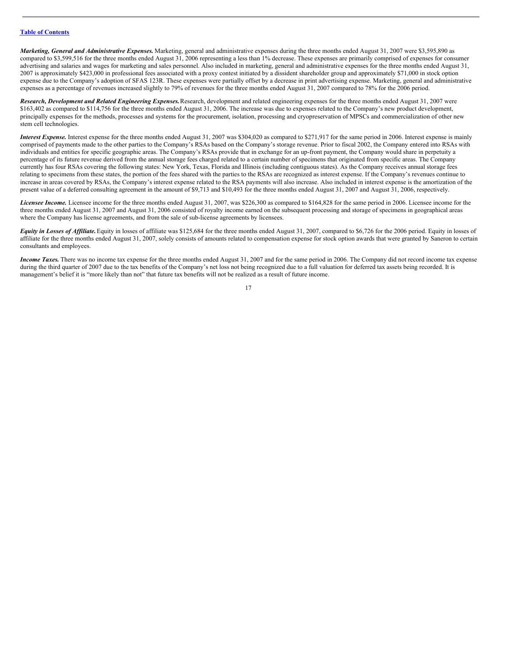*Marketing, General and Administrative Expenses.* Marketing, general and administrative expenses during the three months ended August 31, 2007 were \$3,595,890 as compared to \$3,599,516 for the three months ended August 31, 2006 representing a less than 1% decrease. These expenses are primarily comprised of expenses for consumer advertising and salaries and wages for marketing and sales personnel. Also included in marketing, general and administrative expenses for the three months ended August 31, 2007 is approximately \$423,000 in professional fees associated with a proxy contest initiated by a dissident shareholder group and approximately \$71,000 in stock option expense due to the Company's adoption of SFAS 123R. These expenses were partially offset by a decrease in print advertising expense. Marketing, general and administrative expenses as a percentage of revenues increased slightly to 79% of revenues for the three months ended August 31, 2007 compared to 78% for the 2006 period.

*Research, Development and Related Engineering Expenses.*Research, development and related engineering expenses for the three months ended August 31, 2007 were \$163,402 as compared to \$114,756 for the three months ended August 31, 2006. The increase was due to expenses related to the Company's new product development, principally expenses for the methods, processes and systems for the procurement, isolation, processing and cryopreservation of MPSCs and commercialization of other new stem cell technologies.

*Interest Expense.* Interest expense for the three months ended August 31, 2007 was \$304,020 as compared to \$271,917 for the same period in 2006. Interest expense is mainly comprised of payments made to the other parties to the Company's RSAs based on the Company's storage revenue. Prior to fiscal 2002, the Company entered into RSAs with individuals and entities for specific geographic areas. The Company's RSAs provide that in exchange for an up-front payment, the Company would share in perpetuity a percentage of its future revenue derived from the annual storage fees charged related to a certain number of specimens that originated from specific areas. The Company currently has four RSAs covering the following states: New York, Texas, Florida and Illinois (including contiguous states). As the Company receives annual storage fees relating to specimens from these states, the portion of the fees shared with the parties to the RSAs are recognized as interest expense. If the Company's revenues continue to increase in areas covered by RSAs, the Company's interest expense related to the RSA payments will also increase. Also included in interest expense is the amortization of the present value of a deferred consulting agreement in the amount of \$9,713 and \$10,493 for the three months ended August 31, 2007 and August 31, 2006, respectively.

*Licensee Income.* Licensee income for the three months ended August 31, 2007, was \$226,300 as compared to \$164,828 for the same period in 2006. Licensee income for the three months ended August 31, 2007 and August 31, 2006 consisted of royalty income earned on the subsequent processing and storage of specimens in geographical areas where the Company has license agreements, and from the sale of sub-license agreements by licensees.

*Equity in Losses of Af iliate.*Equity in losses of affiliate was \$125,684 for the three months ended August 31, 2007, compared to \$6,726 for the 2006 period. Equity in losses of affiliate for the three months ended August 31, 2007, solely consists of amounts related to compensation expense for stock option awards that were granted by Saneron to certain consultants and employees.

*Income Taxes.* There was no income tax expense for the three months ended August 31, 2007 and for the same period in 2006. The Company did not record income tax expense during the third quarter of 2007 due to the tax benefits of the Company's net loss not being recognized due to a full valuation for deferred tax assets being recorded. It is management's belief it is "more likely than not" that future tax benefits will not be realized as a result of future income.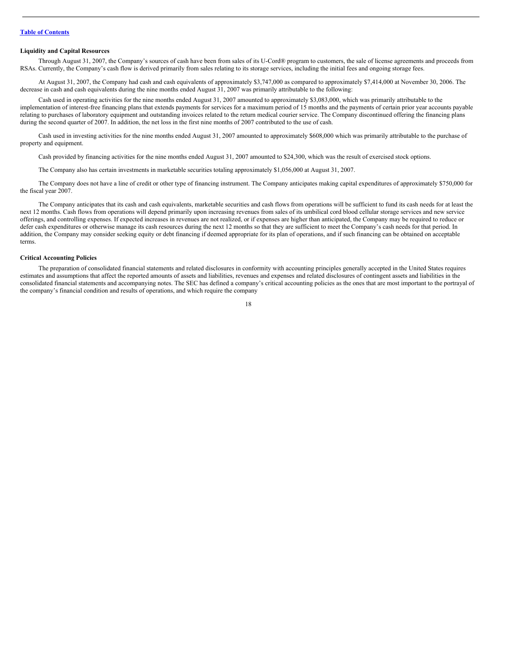### **Liquidity and Capital Resources**

Through August 31, 2007, the Company's sources of cash have been from sales of its U-Cord® program to customers, the sale of license agreements and proceeds from RSAs. Currently, the Company's cash flow is derived primarily from sales relating to its storage services, including the initial fees and ongoing storage fees.

At August 31, 2007, the Company had cash and cash equivalents of approximately \$3,747,000 as compared to approximately \$7,414,000 at November 30, 2006. The decrease in cash and cash equivalents during the nine months ended August 31, 2007 was primarily attributable to the following:

Cash used in operating activities for the nine months ended August 31, 2007 amounted to approximately \$3,083,000, which was primarily attributable to the implementation of interest-free financing plans that extends payments for services for a maximum period of 15 months and the payments of certain prior year accounts payable relating to purchases of laboratory equipment and outstanding invoices related to the return medical courier service. The Company discontinued offering the financing plans during the second quarter of 2007. In addition, the net loss in the first nine months of 2007 contributed to the use of cash.

Cash used in investing activities for the nine months ended August 31, 2007 amounted to approximately \$608,000 which was primarily attributable to the purchase of property and equipment.

Cash provided by financing activities for the nine months ended August 31, 2007 amounted to \$24,300, which was the result of exercised stock options.

The Company also has certain investments in marketable securities totaling approximately \$1,056,000 at August 31, 2007.

The Company does not have a line of credit or other type of financing instrument. The Company anticipates making capital expenditures of approximately \$750,000 for the fiscal year 2007.

The Company anticipates that its cash and cash equivalents, marketable securities and cash flows from operations will be sufficient to fund its cash needs for at least the next 12 months. Cash flows from operations will depend primarily upon increasing revenues from sales of its umbilical cord blood cellular storage services and new service offerings, and controlling expenses. If expected increases in revenues are not realized, or if expenses are higher than anticipated, the Company may be required to reduce or defer cash expenditures or otherwise manage its cash resources during the next 12 months so that they are sufficient to meet the Company's cash needs for that period. In addition, the Company may consider seeking equity or debt financing if deemed appropriate for its plan of operations, and if such financing can be obtained on acceptable terms.

### **Critical Accounting Policies**

The preparation of consolidated financial statements and related disclosures in conformity with accounting principles generally accepted in the United States requires estimates and assumptions that affect the reported amounts of assets and liabilities, revenues and expenses and related disclosures of contingent assets and liabilities in the consolidated financial statements and accompanying notes. The SEC has defined a company's critical accounting policies as the ones that are most important to the portrayal of the company's financial condition and results of operations, and which require the company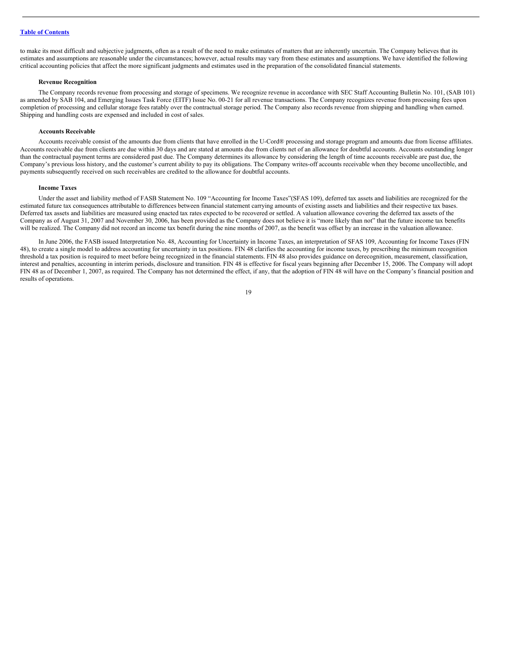to make its most difficult and subjective judgments, often as a result of the need to make estimates of matters that are inherently uncertain. The Company believes that its estimates and assumptions are reasonable under the circumstances; however, actual results may vary from these estimates and assumptions. We have identified the following critical accounting policies that affect the more significant judgments and estimates used in the preparation of the consolidated financial statements.

#### **Revenue Recognition**

The Company records revenue from processing and storage of specimens. We recognize revenue in accordance with SEC Staff Accounting Bulletin No. 101, (SAB 101) as amended by SAB 104, and Emerging Issues Task Force (EITF) Issue No. 00-21 for all revenue transactions. The Company recognizes revenue from processing fees upon completion of processing and cellular storage fees ratably over the contractual storage period. The Company also records revenue from shipping and handling when earned. Shipping and handling costs are expensed and included in cost of sales.

# **Accounts Receivable**

Accounts receivable consist of the amounts due from clients that have enrolled in the U-Cord® processing and storage program and amounts due from license affiliates. Accounts receivable due from clients are due within 30 days and are stated at amounts due from clients net of an allowance for doubtful accounts. Accounts outstanding longer than the contractual payment terms are considered past due. The Company determines its allowance by considering the length of time accounts receivable are past due, the Company's previous loss history, and the customer's current ability to pay its obligations. The Company writes-off accounts receivable when they become uncollectible, and payments subsequently received on such receivables are credited to the allowance for doubtful accounts.

#### **Income Taxes**

Under the asset and liability method of FASB Statement No. 109 "Accounting for Income Taxes"(SFAS 109), deferred tax assets and liabilities are recognized for the estimated future tax consequences attributable to differences between financial statement carrying amounts of existing assets and liabilities and their respective tax bases. Deferred tax assets and liabilities are measured using enacted tax rates expected to be recovered or settled. A valuation allowance covering the deferred tax assets of the Company as of August 31, 2007 and November 30, 2006, has been provided as the Company does not believe it is "more likely than not" that the future income tax benefits will be realized. The Company did not record an income tax benefit during the nine months of 2007, as the benefit was offset by an increase in the valuation allowance.

In June 2006, the FASB issued Interpretation No. 48, Accounting for Uncertainty in Income Taxes, an interpretation of SFAS 109, Accounting for Income Taxes (FIN 48), to create a single model to address accounting for uncertainty in tax positions. FIN 48 clarifies the accounting for income taxes, by prescribing the minimum recognition threshold a tax position is required to meet before being recognized in the financial statements. FIN 48 also provides guidance on derecognition, measurement, classification, interest and penalties, accounting in interim periods, disclosure and transition. FIN 48 is effective for fiscal years beginning after December 15, 2006. The Company will adopt FIN 48 as of December 1, 2007, as required. The Company has not determined the effect, if any, that the adoption of FIN 48 will have on the Company's financial position and results of operations.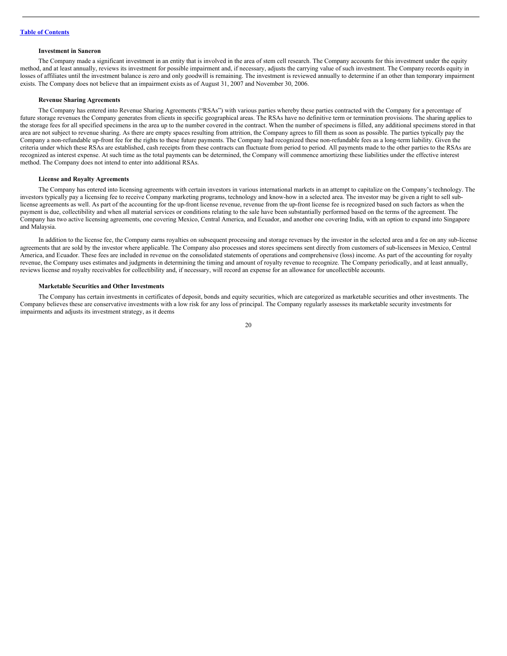# **Investment in Saneron**

The Company made a significant investment in an entity that is involved in the area of stem cell research. The Company accounts for this investment under the equity method, and at least annually, reviews its investment for possible impairment and, if necessary, adjusts the carrying value of such investment. The Company records equity in losses of affiliates until the investment balance is zero and only goodwill is remaining. The investment is reviewed annually to determine if an other than temporary impairment exists. The Company does not believe that an impairment exists as of August 31, 2007 and November 30, 2006.

#### **Revenue Sharing Agreements**

The Company has entered into Revenue Sharing Agreements ("RSAs") with various parties whereby these parties contracted with the Company for a percentage of future storage revenues the Company generates from clients in specific geographical areas. The RSAs have no definitive term or termination provisions. The sharing applies to the storage fees for all specified specimens in the area up to the number covered in the contract. When the number of specimens is filled, any additional specimens stored in that area are not subject to revenue sharing. As there are empty spaces resulting from attrition, the Company agrees to fill them as soon as possible. The parties typically pay the Company a non-refundable up-front fee for the rights to these future payments. The Company had recognized these non-refundable fees as a long-term liability. Given the criteria under which these RSAs are established, cash receipts from these contracts can fluctuate from period to period. All payments made to the other parties to the RSAs are recognized as interest expense. At such time as the total payments can be determined, the Company will commence amortizing these liabilities under the effective interest method. The Company does not intend to enter into additional RSAs.

#### **License and Royalty Agreements**

The Company has entered into licensing agreements with certain investors in various international markets in an attempt to capitalize on the Company's technology. The investors typically pay a licensing fee to receive Company marketing programs, technology and know-how in a selected area. The investor may be given a right to sell sublicense agreements as well. As part of the accounting for the up-front license revenue, revenue from the up-front license fee is recognized based on such factors as when the payment is due, collectibility and when all material services or conditions relating to the sale have been substantially performed based on the terms of the agreement. The Company has two active licensing agreements, one covering Mexico, Central America, and Ecuador, and another one covering India, with an option to expand into Singapore and Malaysia.

In addition to the license fee, the Company earns royalties on subsequent processing and storage revenues by the investor in the selected area and a fee on any sub-license agreements that are sold by the investor where applicable. The Company also processes and stores specimens sent directly from customers of sub-licensees in Mexico, Central America, and Ecuador. These fees are included in revenue on the consolidated statements of operations and comprehensive (loss) income. As part of the accounting for royalty revenue, the Company uses estimates and judgments in determining the timing and amount of royalty revenue to recognize. The Company periodically, and at least annually, reviews license and royalty receivables for collectibility and, if necessary, will record an expense for an allowance for uncollectible accounts.

### **Marketable Securities and Other Investments**

The Company has certain investments in certificates of deposit, bonds and equity securities, which are categorized as marketable securities and other investments. The Company believes these are conservative investments with a low risk for any loss of principal. The Company regularly assesses its marketable security investments for impairments and adjusts its investment strategy, as it deems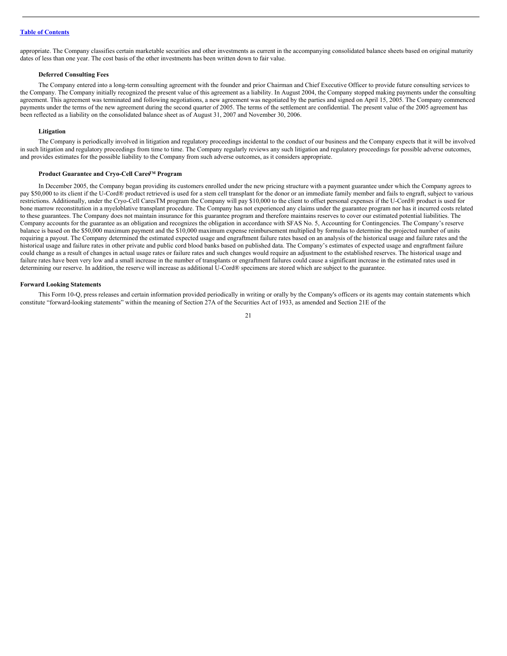appropriate. The Company classifies certain marketable securities and other investments as current in the accompanying consolidated balance sheets based on original maturity dates of less than one year. The cost basis of the other investments has been written down to fair value.

#### **Deferred Consulting Fees**

The Company entered into a long-term consulting agreement with the founder and prior Chairman and Chief Executive Officer to provide future consulting services to the Company. The Company initially recognized the present value of this agreement as a liability. In August 2004, the Company stopped making payments under the consulting agreement. This agreement was terminated and following negotiations, a new agreement was negotiated by the parties and signed on April 15, 2005. The Company commenced payments under the terms of the new agreement during the second quarter of 2005. The terms of the settlement are confidential. The present value of the 2005 agreement has been reflected as a liability on the consolidated balance sheet as of August 31, 2007 and November 30, 2006.

## **Litigation**

The Company is periodically involved in litigation and regulatory proceedings incidental to the conduct of our business and the Company expects that it will be involved in such litigation and regulatory proceedings from time to time. The Company regularly reviews any such litigation and regulatory proceedings for possible adverse outcomes, and provides estimates for the possible liability to the Company from such adverse outcomes, as it considers appropriate.

# **Product Guarantee and Cryo-Cell CaresTM Program**

In December 2005, the Company began providing its customers enrolled under the new pricing structure with a payment guarantee under which the Company agrees to pay \$50,000 to its client if the U-Cord® product retrieved is used for a stem cell transplant for the donor or an immediate family member and fails to engraft, subject to various restrictions. Additionally, under the Cryo-Cell CaresTM program the Company will pay \$10,000 to the client to offset personal expenses if the U-Cord® product is used for bone marrow reconstitution in a myeloblative transplant procedure. The Company has not experienced any claims under the guarantee program nor has it incurred costs related to these guarantees. The Company does not maintain insurance for this guarantee program and therefore maintains reserves to cover our estimated potential liabilities. The Company accounts for the guarantee as an obligation and recognizes the obligation in accordance with SFAS No. 5, Accounting for Contingencies. The Company's reserve balance is based on the \$50,000 maximum payment and the \$10,000 maximum expense reimbursement multiplied by formulas to determine the projected number of units requiring a payout. The Company determined the estimated expected usage and engraftment failure rates based on an analysis of the historical usage and failure rates and the historical usage and failure rates in other private and public cord blood banks based on published data. The Company's estimates of expected usage and engraftment failure could change as a result of changes in actual usage rates or failure rates and such changes would require an adjustment to the established reserves. The historical usage and failure rates have been very low and a small increase in the number of transplants or engraftment failures could cause a significant increase in the estimated rates used in determining our reserve. In addition, the reserve will increase as additional U-Cord® specimens are stored which are subject to the guarantee.

# **Forward Looking Statements**

This Form 10-Q, press releases and certain information provided periodically in writing or orally by the Company's officers or its agents may contain statements which constitute "forward-looking statements" within the meaning of Section 27A of the Securities Act of 1933, as amended and Section 21E of the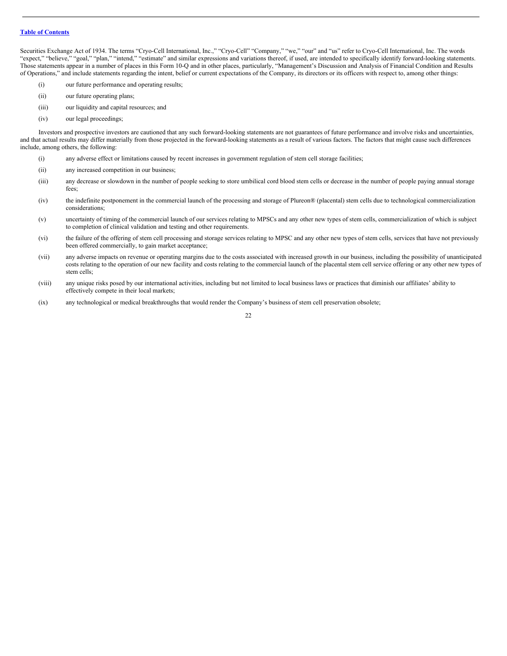Securities Exchange Act of 1934. The terms "Cryo-Cell International, Inc.," "Cryo-Cell" "Company," "we," "our" and "us" refer to Cryo-Cell International, Inc. The words "expect," "believe," "goal," "plan," "intend," "estimate" and similar expressions and variations thereof, if used, are intended to specifically identify forward-looking statements. Those statements appear in a number of places in this Form 10-Q and in other places, particularly, "Management's Discussion and Analysis of Financial Condition and Results of Operations," and include statements regarding the intent, belief or current expectations of the Company, its directors or its officers with respect to, among other things:

- (i) our future performance and operating results;
- (ii) our future operating plans;
- (iii) our liquidity and capital resources; and
- (iv) our legal proceedings;

Investors and prospective investors are cautioned that any such forward-looking statements are not guarantees of future performance and involve risks and uncertainties, and that actual results may differ materially from those projected in the forward-looking statements as a result of various factors. The factors that might cause such differences include, among others, the following:

- (i) any adverse effect or limitations caused by recent increases in government regulation of stem cell storage facilities;
- (ii) any increased competition in our business;
- (iii) any decrease or slowdown in the number of people seeking to store umbilical cord blood stem cells or decrease in the number of people paying annual storage fees;
- (iv) the indefinite postponement in the commercial launch of the processing and storage of Plureon® (placental) stem cells due to technological commercialization considerations;
- (v) uncertainty of timing of the commercial launch of our services relating to MPSCs and any other new types of stem cells, commercialization of which is subject to completion of clinical validation and testing and other requirements.
- (vi) the failure of the offering of stem cell processing and storage services relating to MPSC and any other new types of stem cells, services that have not previously been offered commercially, to gain market acceptance;
- (vii) any adverse impacts on revenue or operating margins due to the costs associated with increased growth in our business, including the possibility of unanticipated costs relating to the operation of our new facility and costs relating to the commercial launch of the placental stem cell service offering or any other new types of stem cells;
- (viii) any unique risks posed by our international activities, including but not limited to local business laws or practices that diminish our affiliates' ability to effectively compete in their local markets;
- (ix) any technological or medical breakthroughs that would render the Company's business of stem cell preservation obsolete;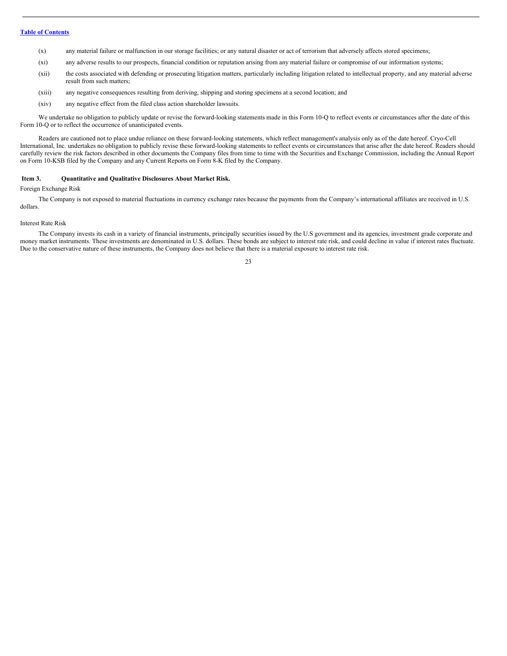- (x) any material failure or malfunction in our storage facilities; or any natural disaster or act of terrorism that adversely affects stored specimens;
- (xi) any adverse results to our prospects, financial condition or reputation arising from any material failure or compromise of our information systems;
- (xii) the costs associated with defending or prosecuting litigation matters, particularly including litigation related to intellectual property, and any material adverse result from such matters;
- (xiii) any negative consequences resulting from deriving, shipping and storing specimens at a second location; and
- (xiv) any negative effect from the filed class action shareholder lawsuits.

We undertake no obligation to publicly update or revise the forward-looking statements made in this Form 10-Q to reflect events or circumstances after the date of this Form 10-Q or to reflect the occurrence of unanticipated events.

Readers are cautioned not to place undue reliance on these forward-looking statements, which reflect management's analysis only as of the date hereof. Cryo-Cell International, Inc. undertakes no obligation to publicly revise these forward-looking statements to reflect events or circumstances that arise after the date hereof. Readers should carefully review the risk factors described in other documents the Company files from time to time with the Securities and Exchange Commission, including the Annual Report on Form 10-KSB filed by the Company and any Current Reports on Form 8-K filed by the Company.

#### <span id="page-22-0"></span>**Item 3. Quantitative and Qualitative Disclosures About Market Risk.**

#### Foreign Exchange Risk

The Company is not exposed to material fluctuations in currency exchange rates because the payments from the Company's international affiliates are received in U.S. dollars.

### Interest Rate Risk

The Company invests its cash in a variety of financial instruments, principally securities issued by the U.S government and its agencies, investment grade corporate and money market instruments. These investments are denominated in U.S. dollars. These bonds are subject to interest rate risk, and could decline in value if interest rates fluctuate. Due to the conservative nature of these instruments, the Company does not believe that there is a material exposure to interest rate risk.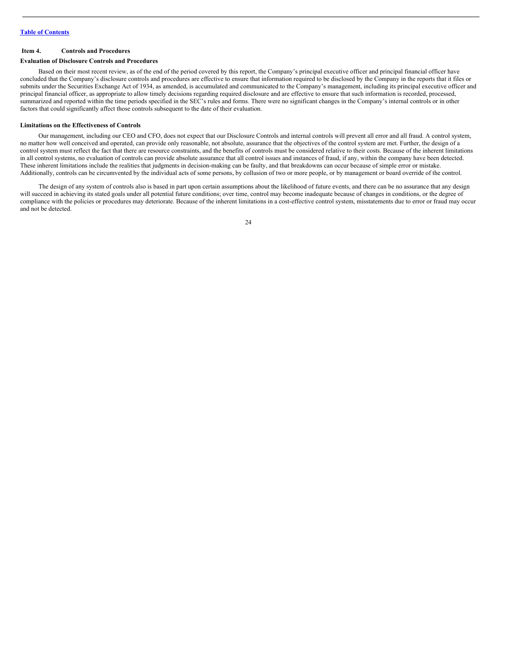### <span id="page-23-0"></span>**Item 4. Controls and Procedures**

#### **Evaluation of Disclosure Controls and Procedures**

Based on their most recent review, as of the end of the period covered by this report, the Company's principal executive officer and principal financial officer have concluded that the Company's disclosure controls and procedures are effective to ensure that information required to be disclosed by the Company in the reports that it files or submits under the Securities Exchange Act of 1934, as amended, is accumulated and communicated to the Company's management, including its principal executive officer and principal financial officer, as appropriate to allow timely decisions regarding required disclosure and are effective to ensure that such information is recorded, processed, summarized and reported within the time periods specified in the SEC's rules and forms. There were no significant changes in the Company's internal controls or in other factors that could significantly affect those controls subsequent to the date of their evaluation.

### **Limitations on the Effectiveness of Controls**

Our management, including our CEO and CFO, does not expect that our Disclosure Controls and internal controls will prevent all error and all fraud. A control system, no matter how well conceived and operated, can provide only reasonable, not absolute, assurance that the objectives of the control system are met. Further, the design of a control system must reflect the fact that there are resource constraints, and the benefits of controls must be considered relative to their costs. Because of the inherent limitations in all control systems, no evaluation of controls can provide absolute assurance that all control issues and instances of fraud, if any, within the company have been detected. These inherent limitations include the realities that judgments in decision-making can be faulty, and that breakdowns can occur because of simple error or mistake. Additionally, controls can be circumvented by the individual acts of some persons, by collusion of two or more people, or by management or board override of the control.

The design of any system of controls also is based in part upon certain assumptions about the likelihood of future events, and there can be no assurance that any design will succeed in achieving its stated goals under all potential future conditions; over time, control may become inadequate because of changes in conditions, or the degree of compliance with the policies or procedures may deteriorate. Because of the inherent limitations in a cost-effective control system, misstatements due to error or fraud may occur and not be detected.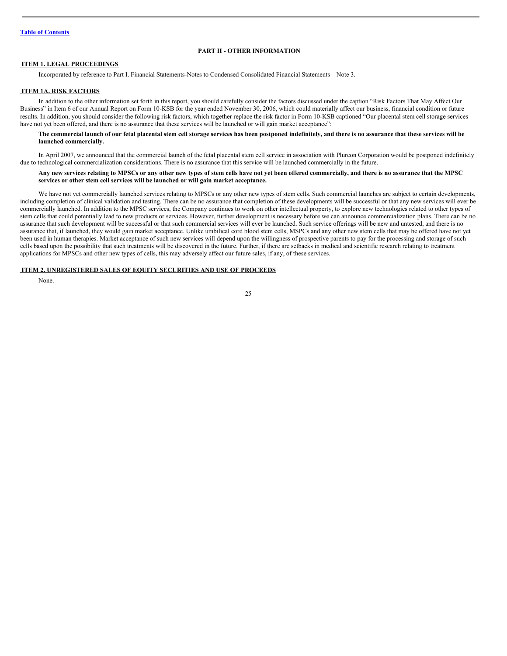# <span id="page-24-0"></span>**PART II - OTHER INFORMATION**

# <span id="page-24-1"></span>**ITEM 1. LEGAL PROCEEDINGS**

Incorporated by reference to Part I. Financial Statements-Notes to Condensed Consolidated Financial Statements – Note 3.

### <span id="page-24-2"></span>**ITEM 1A. RISK FACTORS**

In addition to the other information set forth in this report, you should carefully consider the factors discussed under the caption "Risk Factors That May Affect Our Business" in Item 6 of our Annual Report on Form 10-KSB for the year ended November 30, 2006, which could materially affect our business, financial condition or future results. In addition, you should consider the following risk factors, which together replace the risk factor in Form 10-KSB captioned "Our placental stem cell storage services have not yet been offered, and there is no assurance that these services will be launched or will gain market acceptance":

# The commercial launch of our fetal placental stem cell storage services has been postponed indefinitely, and there is no assurance that these services will be **launched commercially.**

In April 2007, we announced that the commercial launch of the fetal placental stem cell service in association with Plureon Corporation would be postponed indefinitely due to technological commercialization considerations. There is no assurance that this service will be launched commercially in the future.

### Any new services relating to MPSCs or any other new types of stem cells have not yet been offered commercially, and there is no assurance that the MPSC **services or other stem cell services will be launched or will gain market acceptance.**

We have not yet commercially launched services relating to MPSCs or any other new types of stem cells. Such commercial launches are subject to certain developments, including completion of clinical validation and testing. There can be no assurance that completion of these developments will be successful or that any new services will ever be commercially launched. In addition to the MPSC services, the Company continues to work on other intellectual property, to explore new technologies related to other types of stem cells that could potentially lead to new products or services. However, further development is necessary before we can announce commercialization plans. There can be no assurance that such development will be successful or that such commercial services will ever be launched. Such service offerings will be new and untested, and there is no assurance that, if launched, they would gain market acceptance. Unlike umbilical cord blood stem cells, MSPCs and any other new stem cells that may be offered have not yet been used in human therapies. Market acceptance of such new services will depend upon the willingness of prospective parents to pay for the processing and storage of such cells based upon the possibility that such treatments will be discovered in the future. Further, if there are setbacks in medical and scientific research relating to treatment applications for MPSCs and other new types of cells, this may adversely affect our future sales, if any, of these services.

### <span id="page-24-3"></span>**ITEM 2. UNREGISTERED SALES OF EQUITY SECURITIES AND USE OF PROCEEDS**

None.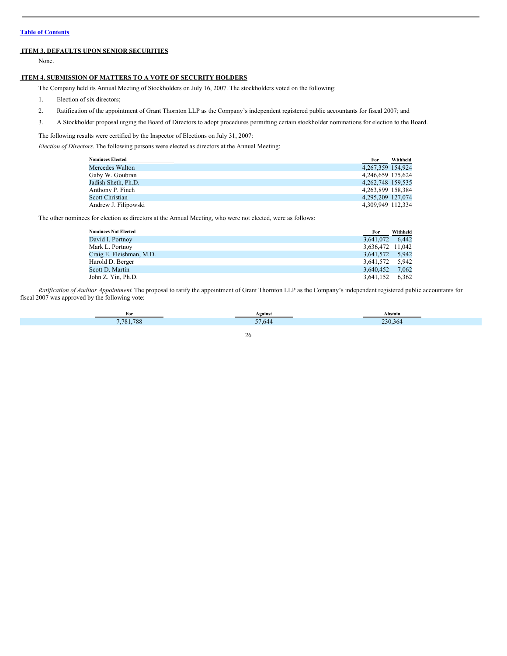# <span id="page-25-0"></span>**ITEM 3. DEFAULTS UPON SENIOR SECURITIES**

None.

# <span id="page-25-1"></span>**ITEM 4. SUBMISSION OF MATTERS TO A VOTE OF SECURITY HOLDERS**

The Company held its Annual Meeting of Stockholders on July 16, 2007. The stockholders voted on the following:

- 1. Election of six directors;
- 2. Ratification of the appointment of Grant Thornton LLP as the Company's independent registered public accountants for fiscal 2007; and
- 3. A Stockholder proposal urging the Board of Directors to adopt procedures permitting certain stockholder nominations for election to the Board.

The following results were certified by the Inspector of Elections on July 31, 2007:

*Election of Directors*. The following persons were elected as directors at the Annual Meeting:

| <b>Nominees Elected</b> | For                  | Withheld |
|-------------------------|----------------------|----------|
| Mercedes Walton         | 4, 267, 359 154, 924 |          |
| Gaby W. Goubran         | 4,246,659 175,624    |          |
| Jadish Sheth, Ph.D.     | 4, 262, 748 159, 535 |          |
| Anthony P. Finch        | 4, 263, 899 158, 384 |          |
| <b>Scott Christian</b>  | 4,295,209 127,074    |          |
| Andrew J. Filipowski    | 4.309.949 112.334    |          |

The other nominees for election as directors at the Annual Meeting, who were not elected, were as follows:

| <b>Nominees Not Elected</b> | For              | Withheld |
|-----------------------------|------------------|----------|
| David I. Portnoy            | 3,641,072 6,442  |          |
| Mark L. Portnoy             | 3,636,472 11,042 |          |
| Craig E. Fleishman, M.D.    | 3,641,572 5,942  |          |
| Harold D. Berger            | 3,641,572 5,942  |          |
| Scott D. Martin             | 3,640,452        | 7,062    |
| John Z. Yin, Ph.D.          | 3,641,152        | 6.362    |

*Ratification of Auditor Appointment*. The proposal to ratify the appointment of Grant Thornton LLP as the Company's independent registered public accountants for fiscal 2007 was approved by the following vote:

| For                | Against                                          | Abstain       |  |
|--------------------|--------------------------------------------------|---------------|--|
| 7 7 8 1 7 8 8<br>. | and the contract of the contract of<br>.644<br>. | 230.364<br>__ |  |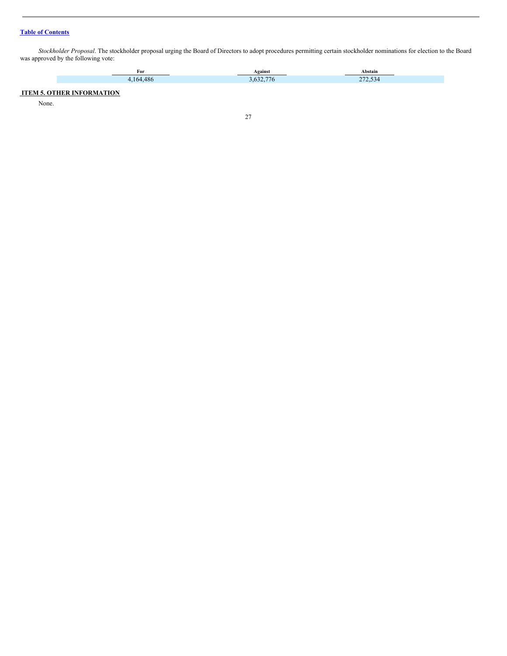*Stockholder Proposal*. The stockholder proposal urging the Board of Directors to adopt procedures permitting certain stockholder nominations for election to the Board was approved by the following vote:

| For | Agains. | Abstain |
|-----|---------|---------|
|     |         |         |
|     |         |         |

# <span id="page-26-0"></span>**ITEM 5. OTHER INFORMATION**

None.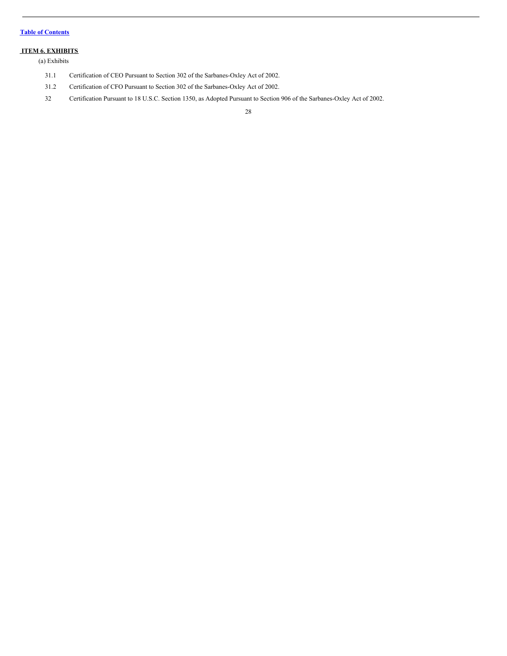# <span id="page-27-0"></span>**ITEM 6. EXHIBITS**

(a) Exhibits

- 31.1 Certification of CEO Pursuant to Section 302 of the Sarbanes-Oxley Act of 2002.
- 31.2 Certification of CFO Pursuant to Section 302 of the Sarbanes-Oxley Act of 2002.
- 32 Certification Pursuant to 18 U.S.C. Section 1350, as Adopted Pursuant to Section 906 of the Sarbanes-Oxley Act of 2002.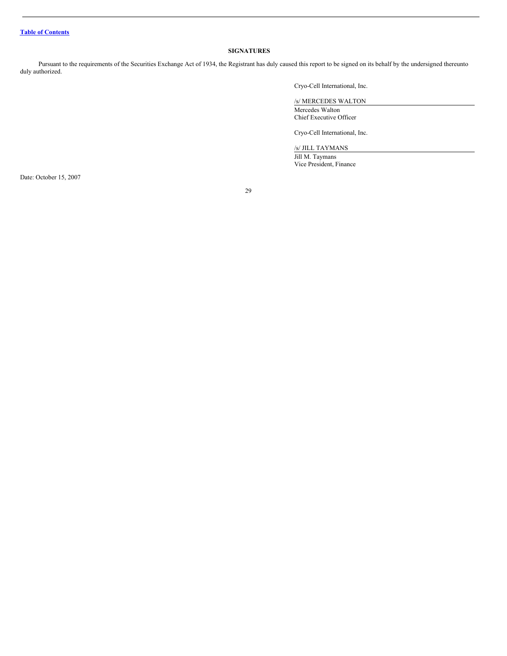# <span id="page-28-0"></span>**SIGNATURES**

Pursuant to the requirements of the Securities Exchange Act of 1934, the Registrant has duly caused this report to be signed on its behalf by the undersigned thereunto duly authorized.

Cryo-Cell International, Inc.

/s/ MERCEDES WALTON Mercedes Walton Chief Executive Officer

Cryo-Cell International, Inc.

/s/ JILL TAYMANS

Jill M. Taymans Vice President, Finance

Date: October 15, 2007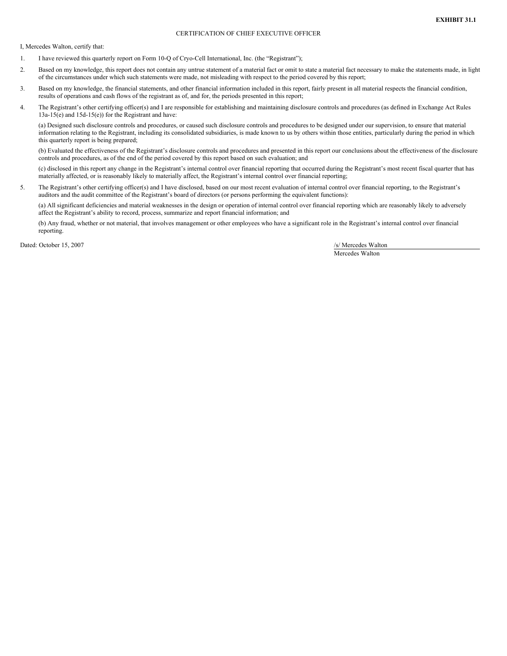# CERTIFICATION OF CHIEF EXECUTIVE OFFICER

I, Mercedes Walton, certify that:

- 1. I have reviewed this quarterly report on Form 10-Q of Cryo-Cell International, Inc. (the "Registrant");
- 2. Based on my knowledge, this report does not contain any untrue statement of a material fact or omit to state a material fact necessary to make the statements made, in light of the circumstances under which such statements were made, not misleading with respect to the period covered by this report;
- 3. Based on my knowledge, the financial statements, and other financial information included in this report, fairly present in all material respects the financial condition, results of operations and cash flows of the registrant as of, and for, the periods presented in this report;
- 4. The Registrant's other certifying officer(s) and I are responsible for establishing and maintaining disclosure controls and procedures (as defined in Exchange Act Rules 13a-15(e) and 15d-15(e)) for the Registrant and have:

(a) Designed such disclosure controls and procedures, or caused such disclosure controls and procedures to be designed under our supervision, to ensure that material information relating to the Registrant, including its consolidated subsidiaries, is made known to us by others within those entities, particularly during the period in which this quarterly report is being prepared;

(b) Evaluated the effectiveness of the Registrant's disclosure controls and procedures and presented in this report our conclusions about the effectiveness of the disclosure controls and procedures, as of the end of the period covered by this report based on such evaluation; and

(c) disclosed in this report any change in the Registrant's internal control over financial reporting that occurred during the Registrant's most recent fiscal quarter that has materially affected, or is reasonably likely to materially affect, the Registrant's internal control over financial reporting;

5. The Registrant's other certifying officer(s) and I have disclosed, based on our most recent evaluation of internal control over financial reporting, to the Registrant's auditors and the audit committee of the Registrant's board of directors (or persons performing the equivalent functions):

(a) All significant deficiencies and material weaknesses in the design or operation of internal control over financial reporting which are reasonably likely to adversely affect the Registrant's ability to record, process, summarize and report financial information; and

(b) Any fraud, whether or not material, that involves management or other employees who have a significant role in the Registrant's internal control over financial reporting.

Dated: October 15, 2007 /s/ Mercedes Walton

Mercedes Walton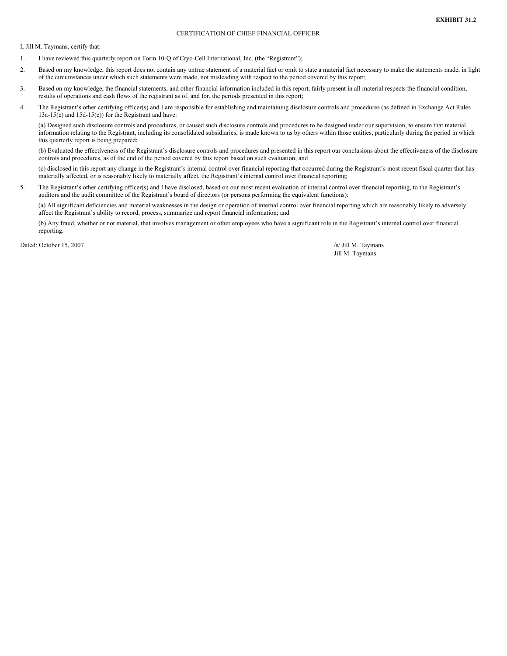# CERTIFICATION OF CHIEF FINANCIAL OFFICER

I, Jill M. Taymans, certify that:

- 1. I have reviewed this quarterly report on Form 10-Q of Cryo-Cell International, Inc. (the "Registrant");
- 2. Based on my knowledge, this report does not contain any untrue statement of a material fact or omit to state a material fact necessary to make the statements made, in light of the circumstances under which such statements were made, not misleading with respect to the period covered by this report;
- 3. Based on my knowledge, the financial statements, and other financial information included in this report, fairly present in all material respects the financial condition, results of operations and cash flows of the registrant as of, and for, the periods presented in this report;
- 4. The Registrant's other certifying officer(s) and I are responsible for establishing and maintaining disclosure controls and procedures (as defined in Exchange Act Rules 13a-15(e) and 15d-15(e)) for the Registrant and have:

(a) Designed such disclosure controls and procedures, or caused such disclosure controls and procedures to be designed under our supervision, to ensure that material information relating to the Registrant, including its consolidated subsidiaries, is made known to us by others within those entities, particularly during the period in which this quarterly report is being prepared;

(b) Evaluated the effectiveness of the Registrant's disclosure controls and procedures and presented in this report our conclusions about the effectiveness of the disclosure controls and procedures, as of the end of the period covered by this report based on such evaluation; and

(c) disclosed in this report any change in the Registrant's internal control over financial reporting that occurred during the Registrant's most recent fiscal quarter that has materially affected, or is reasonably likely to materially affect, the Registrant's internal control over financial reporting;

5. The Registrant's other certifying officer(s) and I have disclosed, based on our most recent evaluation of internal control over financial reporting, to the Registrant's auditors and the audit committee of the Registrant's board of directors (or persons performing the equivalent functions):

(a) All significant deficiencies and material weaknesses in the design or operation of internal control over financial reporting which are reasonably likely to adversely affect the Registrant's ability to record, process, summarize and report financial information; and

(b) Any fraud, whether or not material, that involves management or other employees who have a significant role in the Registrant's internal control over financial reporting.

Dated: October 15, 2007 /s/ Jill M. Taymans

Jill M. Taymans